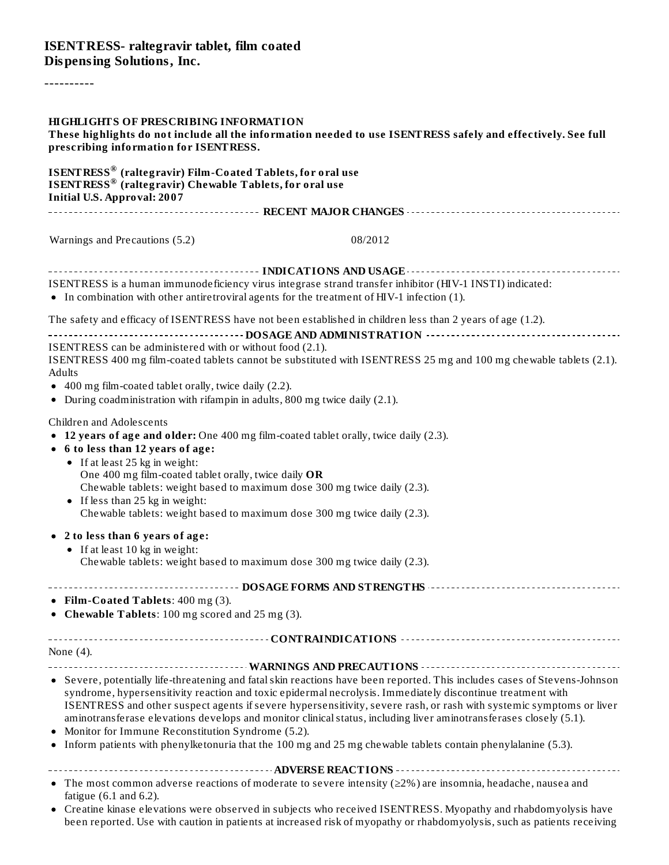### **ISENTRESS- raltegravir tablet, film coated Dispensing Solutions, Inc.**

----------

| <b>HIGHLIGHTS OF PRESCRIBING INFORMATION</b><br>prescribing information for ISENTRESS.                                                                                                                                                                                                                                                                                                                                                             | These highlights do not include all the information needed to use ISENTRESS safely and effectively. See full                                                                                                                                                                                                                                                                                                                                                                                                                                                                                            |
|----------------------------------------------------------------------------------------------------------------------------------------------------------------------------------------------------------------------------------------------------------------------------------------------------------------------------------------------------------------------------------------------------------------------------------------------------|---------------------------------------------------------------------------------------------------------------------------------------------------------------------------------------------------------------------------------------------------------------------------------------------------------------------------------------------------------------------------------------------------------------------------------------------------------------------------------------------------------------------------------------------------------------------------------------------------------|
| ISENTRESS $^\circledast$ (raltegravir) Film-Coated Tablets, for oral use<br><b>ISENTRESS®</b> (raltegravir) Chewable Tablets, for oral use<br><b>Initial U.S. Approval: 2007</b>                                                                                                                                                                                                                                                                   |                                                                                                                                                                                                                                                                                                                                                                                                                                                                                                                                                                                                         |
|                                                                                                                                                                                                                                                                                                                                                                                                                                                    |                                                                                                                                                                                                                                                                                                                                                                                                                                                                                                                                                                                                         |
| Warnings and Precautions (5.2)                                                                                                                                                                                                                                                                                                                                                                                                                     | 08/2012                                                                                                                                                                                                                                                                                                                                                                                                                                                                                                                                                                                                 |
|                                                                                                                                                                                                                                                                                                                                                                                                                                                    |                                                                                                                                                                                                                                                                                                                                                                                                                                                                                                                                                                                                         |
| • In combination with other antiretroviral agents for the treatment of HIV-1 infection (1).                                                                                                                                                                                                                                                                                                                                                        | ISENTRESS is a human immunodeficiency virus integrase strand transfer inhibitor (HIV-1 INSTI) indicated:                                                                                                                                                                                                                                                                                                                                                                                                                                                                                                |
|                                                                                                                                                                                                                                                                                                                                                                                                                                                    | The safety and efficacy of ISENTRESS have not been established in children less than 2 years of age (1.2).                                                                                                                                                                                                                                                                                                                                                                                                                                                                                              |
| ISENTRESS can be administered with or without food (2.1).<br>Adults<br>• 400 mg film-coated tablet orally, twice daily (2.2).                                                                                                                                                                                                                                                                                                                      | ISENTRESS 400 mg film-coated tablets cannot be substituted with ISENTRESS 25 mg and 100 mg chewable tablets (2.1).                                                                                                                                                                                                                                                                                                                                                                                                                                                                                      |
| • During coadministration with rifampin in adults, 800 mg twice daily (2.1).                                                                                                                                                                                                                                                                                                                                                                       |                                                                                                                                                                                                                                                                                                                                                                                                                                                                                                                                                                                                         |
| <b>Children and Adolescents</b><br>• 12 years of age and older: One 400 mg film-coated tablet orally, twice daily (2.3).<br>• 6 to less than 12 years of age:<br>• If at least 25 kg in weight:<br>One 400 mg film-coated tablet orally, twice daily OR<br>Chewable tablets: weight based to maximum dose 300 mg twice daily (2.3).<br>• If less than 25 kg in weight:<br>Chewable tablets: weight based to maximum dose 300 mg twice daily (2.3). |                                                                                                                                                                                                                                                                                                                                                                                                                                                                                                                                                                                                         |
| • 2 to less than 6 years of age:<br>• If at least 10 kg in weight:<br>Chewable tablets: weight based to maximum dose 300 mg twice daily (2.3).                                                                                                                                                                                                                                                                                                     |                                                                                                                                                                                                                                                                                                                                                                                                                                                                                                                                                                                                         |
|                                                                                                                                                                                                                                                                                                                                                                                                                                                    |                                                                                                                                                                                                                                                                                                                                                                                                                                                                                                                                                                                                         |
| • Film-Coated Tablets: 400 mg (3).<br>• Chewable Tablets: 100 mg scored and 25 mg (3).                                                                                                                                                                                                                                                                                                                                                             |                                                                                                                                                                                                                                                                                                                                                                                                                                                                                                                                                                                                         |
|                                                                                                                                                                                                                                                                                                                                                                                                                                                    |                                                                                                                                                                                                                                                                                                                                                                                                                                                                                                                                                                                                         |
| None (4).                                                                                                                                                                                                                                                                                                                                                                                                                                          |                                                                                                                                                                                                                                                                                                                                                                                                                                                                                                                                                                                                         |
|                                                                                                                                                                                                                                                                                                                                                                                                                                                    |                                                                                                                                                                                                                                                                                                                                                                                                                                                                                                                                                                                                         |
| • Monitor for Immune Reconstitution Syndrome (5.2).                                                                                                                                                                                                                                                                                                                                                                                                | • Severe, potentially life-threatening and fatal skin reactions have been reported. This includes cases of Stevens-Johnson<br>syndrome, hypersensitivity reaction and toxic epidermal necrolysis. Immediately discontinue treatment with<br>ISENTRESS and other suspect agents if severe hypersensitivity, severe rash, or rash with systemic symptoms or liver<br>aminotransferase elevations develops and monitor clinical status, including liver aminotransferases closely (5.1).<br>• Inform patients with phenylketonuria that the 100 mg and 25 mg chewable tablets contain phenylalanine (5.3). |
|                                                                                                                                                                                                                                                                                                                                                                                                                                                    |                                                                                                                                                                                                                                                                                                                                                                                                                                                                                                                                                                                                         |
| fatigue $(6.1$ and $6.2)$ .                                                                                                                                                                                                                                                                                                                                                                                                                        | • The most common adverse reactions of moderate to severe intensity ( $\geq$ 2%) are insomnia, headache, nausea and                                                                                                                                                                                                                                                                                                                                                                                                                                                                                     |
|                                                                                                                                                                                                                                                                                                                                                                                                                                                    | Creatine kinase elevations were observed in subjects who received ISENTRESS. Myopathy and rhabdomyolysis have<br>been reported. Use with caution in patients at increased risk of myopathy or rhabdomyolysis, such as patients receiving                                                                                                                                                                                                                                                                                                                                                                |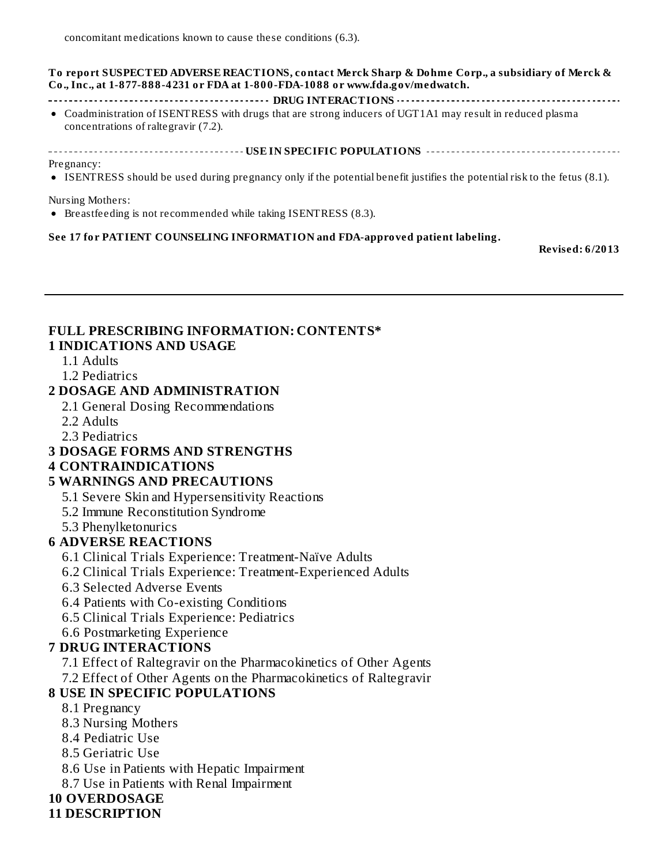#### **To report SUSPECTED ADVERSE REACTIONS, contact Merck Sharp & Dohme Corp., a subsidiary of Merck & Co., Inc., at 1-877-888-4231 or FDA at 1-800-FDA-1088 or www.fda.gov/medwatch.**

**DRUG INTERACTIONS** Coadministration of ISENTRESS with drugs that are strong inducers of UGT1A1 may result in reduced plasma concentrations of raltegravir (7.2).

**USE IN SPECIFIC POPULATIONS**

Pregnancy:

ISENTRESS should be used during pregnancy only if the potential benefit justifies the potential risk to the fetus (8.1).

#### Nursing Mothers:

Breastfeeding is not recommended while taking ISENTRESS (8.3).

#### **See 17 for PATIENT COUNSELING INFORMATION and FDA-approved patient labeling.**

**Revised: 6/2013**

#### **FULL PRESCRIBING INFORMATION: CONTENTS\* 1 INDICATIONS AND USAGE**

### 1.1 Adults

1.2 Pediatrics

#### **2 DOSAGE AND ADMINISTRATION**

- 2.1 General Dosing Recommendations
- 2.2 Adults
- 2.3 Pediatrics

#### **3 DOSAGE FORMS AND STRENGTHS**

#### **4 CONTRAINDICATIONS**

#### **5 WARNINGS AND PRECAUTIONS**

5.1 Severe Skin and Hypersensitivity Reactions

5.2 Immune Reconstitution Syndrome

5.3 Phenylketonurics

#### **6 ADVERSE REACTIONS**

- 6.1 Clinical Trials Experience: Treatment-Naïve Adults
- 6.2 Clinical Trials Experience: Treatment-Experienced Adults
- 6.3 Selected Adverse Events
- 6.4 Patients with Co-existing Conditions
- 6.5 Clinical Trials Experience: Pediatrics
- 6.6 Postmarketing Experience

#### **7 DRUG INTERACTIONS**

7.1 Effect of Raltegravir on the Pharmacokinetics of Other Agents

7.2 Effect of Other Agents on the Pharmacokinetics of Raltegravir

#### **8 USE IN SPECIFIC POPULATIONS**

- 8.1 Pregnancy
- 8.3 Nursing Mothers
- 8.4 Pediatric Use
- 8.5 Geriatric Use
- 8.6 Use in Patients with Hepatic Impairment
- 8.7 Use in Patients with Renal Impairment
- **10 OVERDOSAGE**

#### **11 DESCRIPTION**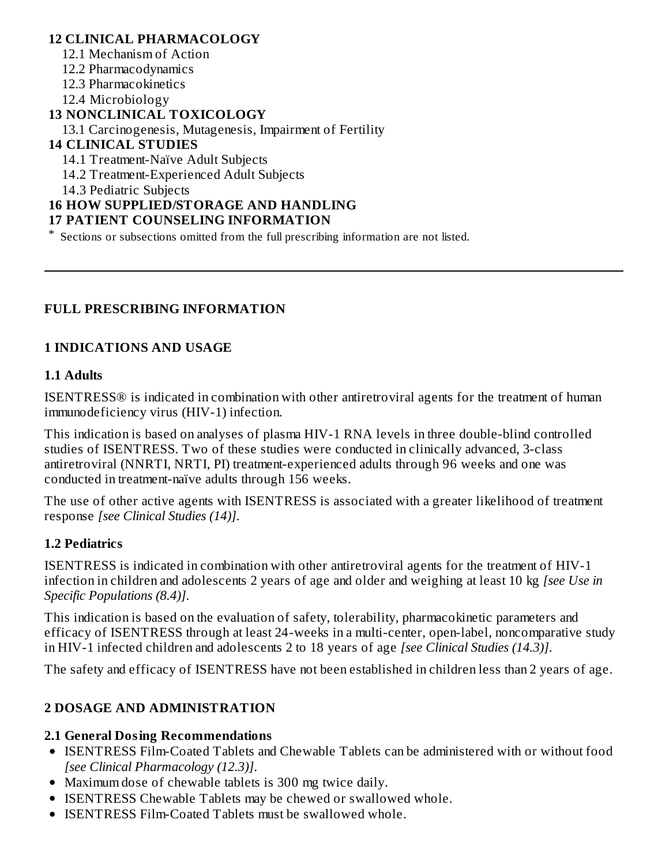### **12 CLINICAL PHARMACOLOGY**

12.1 Mechanism of Action

12.2 Pharmacodynamics

12.3 Pharmacokinetics

12.4 Microbiology

### **13 NONCLINICAL TOXICOLOGY**

13.1 Carcinogenesis, Mutagenesis, Impairment of Fertility

### **14 CLINICAL STUDIES**

14.1 Treatment-Naïve Adult Subjects

14.2 Treatment-Experienced Adult Subjects

14.3 Pediatric Subjects

### **16 HOW SUPPLIED/STORAGE AND HANDLING**

### **17 PATIENT COUNSELING INFORMATION**

\* Sections or subsections omitted from the full prescribing information are not listed.

### **FULL PRESCRIBING INFORMATION**

### **1 INDICATIONS AND USAGE**

### **1.1 Adults**

ISENTRESS® is indicated in combination with other antiretroviral agents for the treatment of human immunodeficiency virus (HIV-1) infection.

This indication is based on analyses of plasma HIV-1 RNA levels in three double-blind controlled studies of ISENTRESS. Two of these studies were conducted in clinically advanced, 3-class antiretroviral (NNRTI, NRTI, PI) treatment-experienced adults through 96 weeks and one was conducted in treatment-naïve adults through 156 weeks.

The use of other active agents with ISENTRESS is associated with a greater likelihood of treatment response *[see Clinical Studies (14)]*.

### **1.2 Pediatrics**

ISENTRESS is indicated in combination with other antiretroviral agents for the treatment of HIV-1 infection in children and adolescents 2 years of age and older and weighing at least 10 kg *[see Use in Specific Populations (8.4)]*.

This indication is based on the evaluation of safety, tolerability, pharmacokinetic parameters and efficacy of ISENTRESS through at least 24-weeks in a multi-center, open-label, noncomparative study in HIV-1 infected children and adolescents 2 to 18 years of age *[see Clinical Studies (14.3)]*.

The safety and efficacy of ISENTRESS have not been established in children less than 2 years of age.

### **2 DOSAGE AND ADMINISTRATION**

### **2.1 General Dosing Recommendations**

- ISENTRESS Film-Coated Tablets and Chewable Tablets can be administered with or without food *[see Clinical Pharmacology (12.3)]*.
- Maximum dose of chewable tablets is 300 mg twice daily.
- ISENTRESS Chewable Tablets may be chewed or swallowed whole.
- ISENTRESS Film-Coated Tablets must be swallowed whole.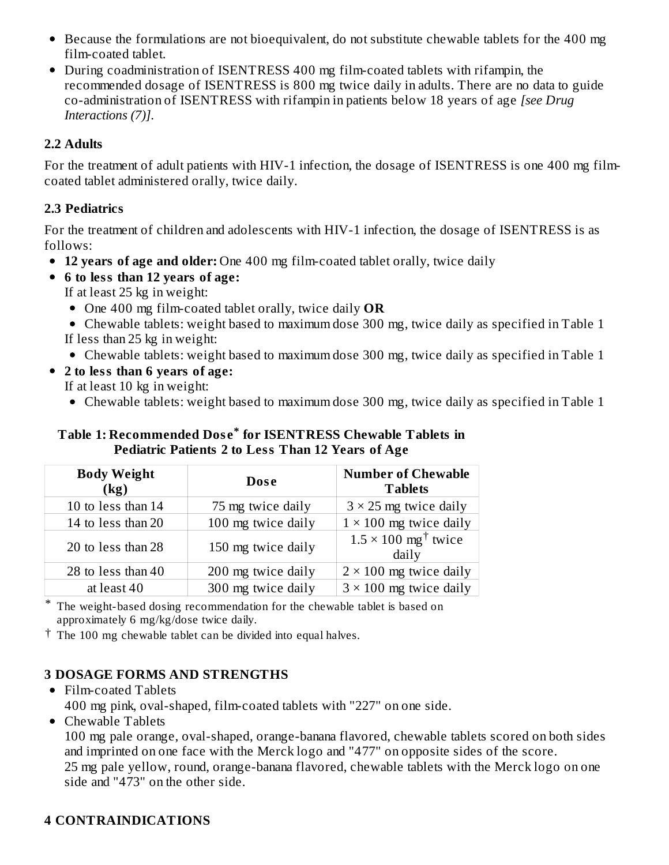- Because the formulations are not bioequivalent, do not substitute chewable tablets for the 400 mg film-coated tablet.
- During coadministration of ISENTRESS 400 mg film-coated tablets with rifampin, the recommended dosage of ISENTRESS is 800 mg twice daily in adults. There are no data to guide co-administration of ISENTRESS with rifampin in patients below 18 years of age *[see Drug Interactions (7)]*.

### **2.2 Adults**

For the treatment of adult patients with HIV-1 infection, the dosage of ISENTRESS is one 400 mg filmcoated tablet administered orally, twice daily.

### **2.3 Pediatrics**

For the treatment of children and adolescents with HIV-1 infection, the dosage of ISENTRESS is as follows:

- **12 years of age and older:** One 400 mg film-coated tablet orally, twice daily
- **6 to less than 12 years of age:**

If at least 25 kg in weight:

One 400 mg film-coated tablet orally, twice daily **OR**

Chewable tablets: weight based to maximum dose 300 mg, twice daily as specified in Table 1 If less than 25 kg in weight:

- Chewable tablets: weight based to maximum dose 300 mg, twice daily as specified in Table 1
- **2 to less than 6 years of age:** If at least 10 kg in weight:
	- Chewable tablets: weight based to maximum dose 300 mg, twice daily as specified in Table 1

### **Table 1: Recommended Dos e for ISENTRESS Chewable Tablets in \* Pediatric Patients 2 to Less Than 12 Years of Age**

| <b>Body Weight</b><br>$\left(\mathrm{kg}\right)$ | <b>Dose</b>        | <b>Number of Chewable</b><br><b>Tablets</b>     |
|--------------------------------------------------|--------------------|-------------------------------------------------|
| 10 to less than 14                               | 75 mg twice daily  | $3 \times 25$ mg twice daily                    |
| 14 to less than 20                               | 100 mg twice daily | $1 \times 100$ mg twice daily                   |
| 20 to less than 28                               | 150 mg twice daily | $1.5 \times 100$ mg <sup>†</sup> twice<br>daily |
| 28 to less than 40                               | 200 mg twice daily | $2 \times 100$ mg twice daily                   |
| at least 40                                      | 300 mg twice daily | $3 \times 100$ mg twice daily                   |

\* The weight-based dosing recommendation for the chewable tablet is based on approximately 6 mg/kg/dose twice daily.

<sup>†</sup> The 100 mg chewable tablet can be divided into equal halves.

### **3 DOSAGE FORMS AND STRENGTHS**

- Film-coated Tablets 400 mg pink, oval-shaped, film-coated tablets with "227" on one side.
- Chewable Tablets

100 mg pale orange, oval-shaped, orange-banana flavored, chewable tablets scored on both sides and imprinted on one face with the Merck logo and "477" on opposite sides of the score. 25 mg pale yellow, round, orange-banana flavored, chewable tablets with the Merck logo on one side and "473" on the other side.

### **4 CONTRAINDICATIONS**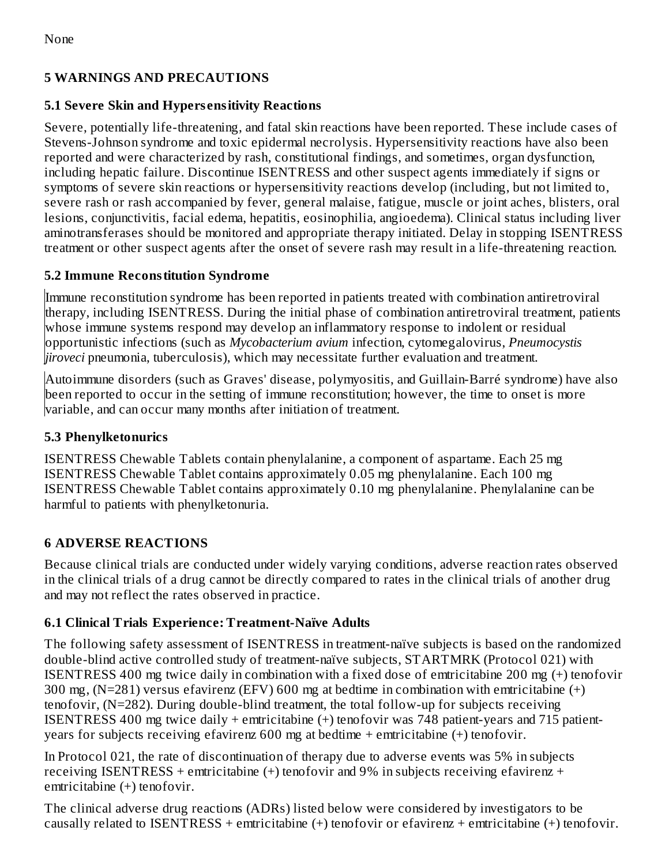## **5 WARNINGS AND PRECAUTIONS**

### **5.1 Severe Skin and Hypers ensitivity Reactions**

Severe, potentially life-threatening, and fatal skin reactions have been reported. These include cases of Stevens-Johnson syndrome and toxic epidermal necrolysis. Hypersensitivity reactions have also been reported and were characterized by rash, constitutional findings, and sometimes, organ dysfunction, including hepatic failure. Discontinue ISENTRESS and other suspect agents immediately if signs or symptoms of severe skin reactions or hypersensitivity reactions develop (including, but not limited to, severe rash or rash accompanied by fever, general malaise, fatigue, muscle or joint aches, blisters, oral lesions, conjunctivitis, facial edema, hepatitis, eosinophilia, angioedema). Clinical status including liver aminotransferases should be monitored and appropriate therapy initiated. Delay in stopping ISENTRESS treatment or other suspect agents after the onset of severe rash may result in a life-threatening reaction.

### **5.2 Immune Reconstitution Syndrome**

Immune reconstitution syndrome has been reported in patients treated with combination antiretroviral therapy, including ISENTRESS. During the initial phase of combination antiretroviral treatment, patients whose immune systems respond may develop an inflammatory response to indolent or residual opportunistic infections (such as *Mycobacterium avium* infection, cytomegalovirus, *Pneumocystis jiroveci* pneumonia, tuberculosis), which may necessitate further evaluation and treatment.

Autoimmune disorders (such as Graves' disease, polymyositis, and Guillain-Barré syndrome) have also been reported to occur in the setting of immune reconstitution; however, the time to onset is more variable, and can occur many months after initiation of treatment.

### **5.3 Phenylketonurics**

ISENTRESS Chewable Tablets contain phenylalanine, a component of aspartame. Each 25 mg ISENTRESS Chewable Tablet contains approximately 0.05 mg phenylalanine. Each 100 mg ISENTRESS Chewable Tablet contains approximately 0.10 mg phenylalanine. Phenylalanine can be harmful to patients with phenylketonuria.

### **6 ADVERSE REACTIONS**

Because clinical trials are conducted under widely varying conditions, adverse reaction rates observed in the clinical trials of a drug cannot be directly compared to rates in the clinical trials of another drug and may not reflect the rates observed in practice.

### **6.1 Clinical Trials Experience: Treatment-Naïve Adults**

The following safety assessment of ISENTRESS in treatment-naïve subjects is based on the randomized double-blind active controlled study of treatment-naïve subjects, STARTMRK (Protocol 021) with ISENTRESS 400 mg twice daily in combination with a fixed dose of emtricitabine 200 mg (+) tenofovir 300 mg, (N=281) versus efavirenz (EFV) 600 mg at bedtime in combination with emtricitabine (+) tenofovir, (N=282). During double-blind treatment, the total follow-up for subjects receiving ISENTRESS 400 mg twice daily + emtricitabine (+) tenofovir was 748 patient-years and 715 patientyears for subjects receiving efavirenz 600 mg at bedtime + emtricitabine (+) tenofovir.

In Protocol 021, the rate of discontinuation of therapy due to adverse events was 5% in subjects receiving ISENTRESS + emtricitabine (+) tenofovir and 9% in subjects receiving efavirenz + emtricitabine (+) tenofovir.

The clinical adverse drug reactions (ADRs) listed below were considered by investigators to be causally related to ISENTRESS + emtricitabine (+) tenofovir or efavirenz + emtricitabine (+) tenofovir.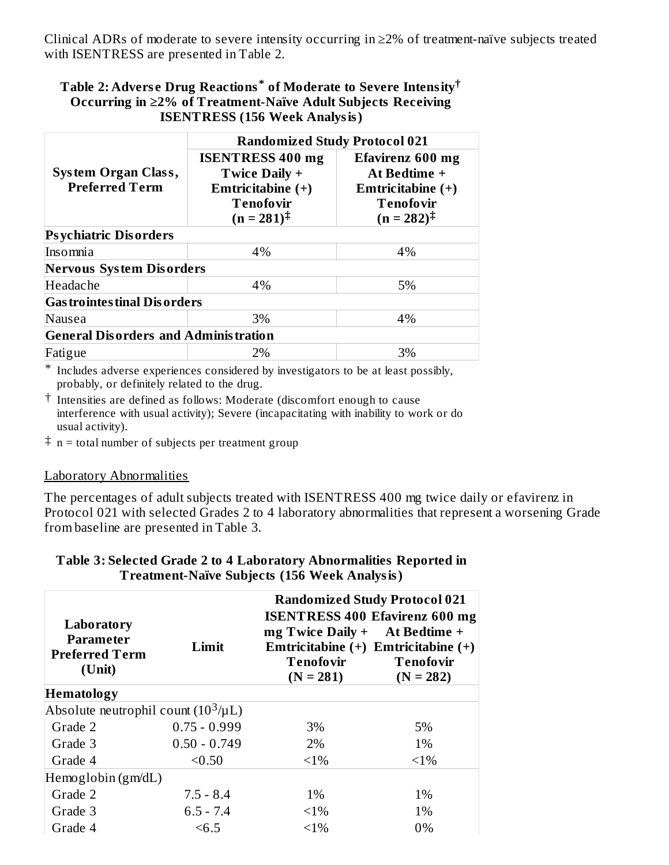Clinical ADRs of moderate to severe intensity occurring in  $\geq 2\%$  of treatment-naïve subjects treated with ISENTRESS are presented in Table 2.

### **Table 2: Advers e Drug Reactions of Moderate to Severe Intensity \* † Occurring in ≥2% of Treatment-Naïve Adult Subjects Receiving ISENTRESS (156 Week Analysis)**

|                                                     | <b>Randomized Study Protocol 021</b>                                                                               |                                                                                                            |  |  |  |
|-----------------------------------------------------|--------------------------------------------------------------------------------------------------------------------|------------------------------------------------------------------------------------------------------------|--|--|--|
| <b>System Organ Class,</b><br><b>Preferred Term</b> | <b>ISENTRESS 400 mg</b><br><b>Twice Daily +</b><br>Emtricitabine (+)<br><b>Tenofovir</b><br>$(n = 281)^{\ddagger}$ | <b>Efavirenz 600 mg</b><br>At Bedtime +<br>Emtricitabine (+)<br><b>Tenofovir</b><br>$(n = 282)^{\ddagger}$ |  |  |  |
| <b>Psychiatric Disorders</b>                        |                                                                                                                    |                                                                                                            |  |  |  |
| Insomnia                                            | 4%                                                                                                                 | 4%                                                                                                         |  |  |  |
|                                                     | <b>Nervous System Disorders</b>                                                                                    |                                                                                                            |  |  |  |
| Headache                                            | 4%                                                                                                                 | 5%                                                                                                         |  |  |  |
| <b>Gas trointes tinal Dis orders</b>                |                                                                                                                    |                                                                                                            |  |  |  |
| Nausea                                              | 3%                                                                                                                 | 4%                                                                                                         |  |  |  |
| <b>General Disorders and Administration</b>         |                                                                                                                    |                                                                                                            |  |  |  |
| Fatigue                                             | 2%                                                                                                                 | 3%                                                                                                         |  |  |  |

\* Includes adverse experiences considered by investigators to be at least possibly, probably, or definitely related to the drug.

† Intensities are defined as follows: Moderate (discomfort enough to cause interference with usual activity); Severe (incapacitating with inability to work or do usual activity).

 $\ddagger$  n = total number of subjects per treatment group

#### Laboratory Abnormalities

The percentages of adult subjects treated with ISENTRESS 400 mg twice daily or efavirenz in Protocol 021 with selected Grades 2 to 4 laboratory abnormalities that represent a worsening Grade from baseline are presented in Table 3.

| Laboratory<br><b>Parameter</b><br><b>Preferred Term</b><br>(Unit) | Limit          | mg Twice Daily + At Bedtime +<br>Tenofovir<br>$(N = 281)$ | <b>Randomized Study Protocol 021</b><br><b>ISENTRESS 400 Efavirenz 600 mg</b><br>Emtricitabine (+) Emtricitabine (+)<br><b>Tenofovir</b><br>$(N = 282)$ |
|-------------------------------------------------------------------|----------------|-----------------------------------------------------------|---------------------------------------------------------------------------------------------------------------------------------------------------------|
| Hematology                                                        |                |                                                           |                                                                                                                                                         |
| Absolute neutrophil count $(10^3/\mu L)$                          |                |                                                           |                                                                                                                                                         |
| Grade 2                                                           | $0.75 - 0.999$ | 3%                                                        | 5%                                                                                                                                                      |
| Grade 3                                                           | $0.50 - 0.749$ | 2%                                                        | 1%                                                                                                                                                      |
| Grade 4                                                           | < 0.50         | $<1\%$                                                    | $<1\%$                                                                                                                                                  |
| Hemoglobin(gm/dL)                                                 |                |                                                           |                                                                                                                                                         |
| Grade 2                                                           | $7.5 - 8.4$    | 1%                                                        | 1%                                                                                                                                                      |
| Grade 3                                                           | $6.5 - 7.4$    | $<1\%$                                                    | 1%                                                                                                                                                      |
| Grade 4                                                           | < 6.5          | $<1\%$                                                    | 0%                                                                                                                                                      |

#### **Table 3: Selected Grade 2 to 4 Laboratory Abnormalities Reported in Treatment-Naïve Subjects (156 Week Analysis)**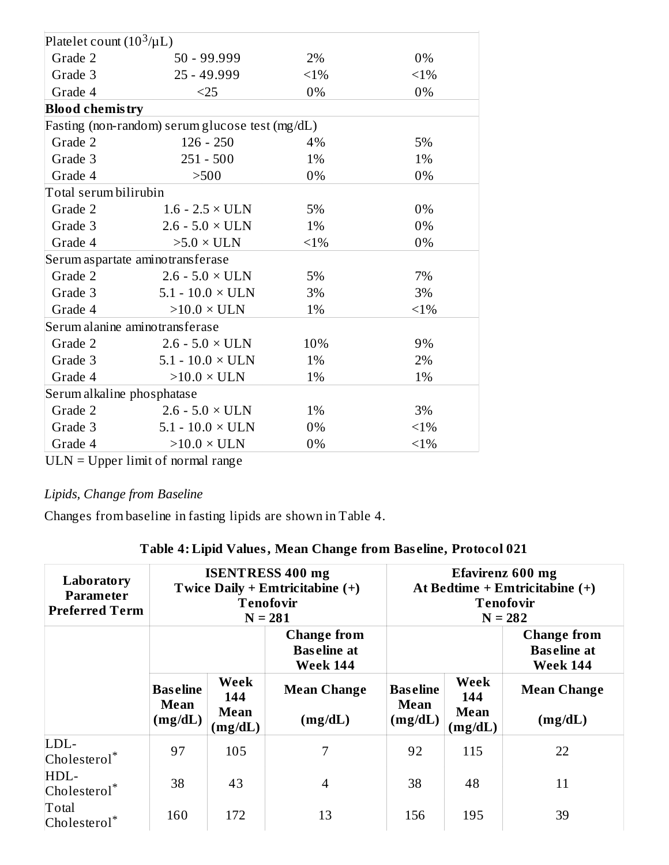| Platelet count $(10^3/\mu L)$ |                                                 |        |        |  |  |  |
|-------------------------------|-------------------------------------------------|--------|--------|--|--|--|
| Grade 2                       | $50 - 99.999$                                   | 2%     | 0%     |  |  |  |
| Grade 3                       | $25 - 49.999$                                   | $<1\%$ | $<1\%$ |  |  |  |
| Grade 4                       | $25$                                            | $0\%$  | 0%     |  |  |  |
| <b>Blood chemistry</b>        |                                                 |        |        |  |  |  |
|                               | Fasting (non-random) serum glucose test (mg/dL) |        |        |  |  |  |
| Grade 2                       | $126 - 250$                                     | 4%     | 5%     |  |  |  |
| Grade 3                       | $251 - 500$                                     | 1%     | 1%     |  |  |  |
| Grade 4                       | $>500$                                          | 0%     | 0%     |  |  |  |
| Total serum bilirubin         |                                                 |        |        |  |  |  |
| Grade 2                       | 1.6 - 2.5 $\times$ ULN                          | 5%     | $0\%$  |  |  |  |
| Grade 3                       | $2.6 - 5.0 \times ULN$                          | 1%     | 0%     |  |  |  |
| Grade 4                       | $>5.0 \times ULN$                               | $<1\%$ | 0%     |  |  |  |
|                               | Serum aspartate aminotransferase                |        |        |  |  |  |
| Grade 2                       | $2.6 - 5.0 \times \text{ULN}$                   | 5%     | 7%     |  |  |  |
| Grade 3                       | $5.1 - 10.0 \times ULN$                         | 3%     | 3%     |  |  |  |
| Grade 4                       | $>10.0 \times ULN$                              | 1%     | $<1\%$ |  |  |  |
|                               | Serum alanine aminotransferase                  |        |        |  |  |  |
| Grade 2                       | $2.6 - 5.0 \times \text{ULN}$                   | 10%    | 9%     |  |  |  |
| Grade 3                       | $5.1 - 10.0 \times ULN$                         | $1\%$  | 2%     |  |  |  |
| Grade 4                       | $>10.0 \times ULN$                              | 1%     | 1%     |  |  |  |
| Serum alkaline phosphatase    |                                                 |        |        |  |  |  |
| Grade 2                       | $2.6$ - $5.0 \times \text{ULN}$                 | 1%     | 3%     |  |  |  |
| Grade 3                       | $5.1 - 10.0 \times ULN$                         | 0%     | $<1\%$ |  |  |  |
| Grade 4                       | $>10.0 \times$ ULN                              | 0%     | $<1\%$ |  |  |  |

ULN = Upper limit of normal range

### *Lipids, Change from Baseline*

Changes from baseline in fasting lipids are shown in Table 4.

| Laboratory<br><b>Parameter</b><br><b>Preferred Term</b> | <b>ISENTRESS 400 mg</b><br>Twice Daily + Emtricitabine (+)<br><b>Tenofovir</b><br>$N = 281$ |                            |                               | Efavirenz 600 mg<br>At Bedtime + Emtricitabine (+)<br><b>Tenofovir</b><br>$N = 282$ |                                                             |                               |
|---------------------------------------------------------|---------------------------------------------------------------------------------------------|----------------------------|-------------------------------|-------------------------------------------------------------------------------------|-------------------------------------------------------------|-------------------------------|
|                                                         | <b>Change from</b><br><b>Baseline</b> at<br><b>Week 144</b>                                 |                            |                               |                                                                                     | <b>Change from</b><br><b>Baseline</b> at<br><b>Week 144</b> |                               |
|                                                         | <b>Baseline</b><br><b>Mean</b><br>(mg/dL)                                                   | Week<br>144<br><b>Mean</b> | <b>Mean Change</b><br>(mg/dL) | <b>Baseline</b><br>Mean<br>(mg/dL)                                                  | Week<br>144<br><b>Mean</b>                                  | <b>Mean Change</b><br>(mg/dL) |
| LDL-<br>Cholesterol*                                    | 97                                                                                          | (mg/dL)<br>105             | 7                             | 92                                                                                  | (mg/dL)<br>115                                              | 22                            |
| HDL-<br>Cholesterol*                                    | 38                                                                                          | 43                         | $\overline{4}$                | 38                                                                                  | 48                                                          | 11                            |
| Total<br>Cholesterol*                                   | 160                                                                                         | 172                        | 13                            | 156                                                                                 | 195                                                         | 39                            |

### **Table 4: Lipid Values, Mean Change from Bas eline, Protocol 021**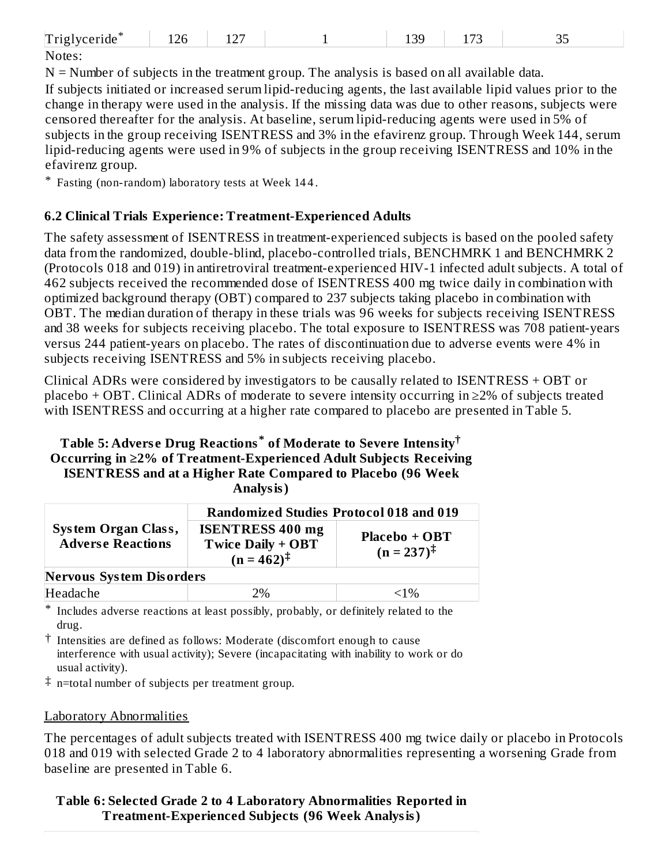| Trio<br>$\sim$ anide<br>  1 1 1 4 | $\sim$ | $\sim$ $\sim$<br>--- |  | ںر |
|-----------------------------------|--------|----------------------|--|----|
| <b>Notos</b>                      |        |                      |  |    |

Notes:

 $N =$  Number of subjects in the treatment group. The analysis is based on all available data.

If subjects initiated or increased serum lipid-reducing agents, the last available lipid values prior to the change in therapy were used in the analysis. If the missing data was due to other reasons, subjects were censored thereafter for the analysis. At baseline, serum lipid-reducing agents were used in 5% of subjects in the group receiving ISENTRESS and 3% in the efavirenz group. Through Week 144, serum lipid-reducing agents were used in 9% of subjects in the group receiving ISENTRESS and 10% in the efavirenz group.

\* Fasting (non-random) laboratory tests at Week 14 4 .

## **6.2 Clinical Trials Experience: Treatment-Experienced Adults**

The safety assessment of ISENTRESS in treatment-experienced subjects is based on the pooled safety data from the randomized, double-blind, placebo-controlled trials, BENCHMRK 1 and BENCHMRK 2 (Protocols 018 and 019) in antiretroviral treatment-experienced HIV-1 infected adult subjects. A total of 462 subjects received the recommended dose of ISENTRESS 400 mg twice daily in combination with optimized background therapy (OBT) compared to 237 subjects taking placebo in combination with OBT. The median duration of therapy in these trials was 96 weeks for subjects receiving ISENTRESS and 38 weeks for subjects receiving placebo. The total exposure to ISENTRESS was 708 patient-years versus 244 patient-years on placebo. The rates of discontinuation due to adverse events were 4% in subjects receiving ISENTRESS and 5% in subjects receiving placebo.

Clinical ADRs were considered by investigators to be causally related to ISENTRESS + OBT or placebo + OBT. Clinical ADRs of moderate to severe intensity occurring in ≥2% of subjects treated with ISENTRESS and occurring at a higher rate compared to placebo are presented in Table 5.

## **Table 5: Advers e Drug Reactions of Moderate to Severe Intensity \* † Occurring in ≥2% of Treatment-Experienced Adult Subjects Receiving ISENTRESS and at a Higher Rate Compared to Placebo (96 Week**

|                                                        | <b>Randomized Studies Protocol 018 and 019</b>                                |                                         |  |  |
|--------------------------------------------------------|-------------------------------------------------------------------------------|-----------------------------------------|--|--|
| <b>System Organ Class,</b><br><b>Adverse Reactions</b> | <b>ISENTRESS 400 mg</b><br><b>Twice Daily + OBT</b><br>$(n = 462)^{\ddagger}$ | Placebo + OBT<br>$(n = 237)^{\ddagger}$ |  |  |
| Nervous System Disorders                               |                                                                               |                                         |  |  |
| Headache                                               | 2%                                                                            | $<$ 1%                                  |  |  |

**Analysis)**

\* Includes adverse reactions at least possibly, probably, or definitely related to the drug.

† Intensities are defined as follows: Moderate (discomfort enough to cause interference with usual activity); Severe (incapacitating with inability to work or do usual activity).

‡ n=total number of subjects per treatment group.

### Laboratory Abnormalities

The percentages of adult subjects treated with ISENTRESS 400 mg twice daily or placebo in Protocols 018 and 019 with selected Grade 2 to 4 laboratory abnormalities representing a worsening Grade from baseline are presented in Table 6.

**Table 6: Selected Grade 2 to 4 Laboratory Abnormalities Reported in Treatment-Experienced Subjects (96 Week Analysis)**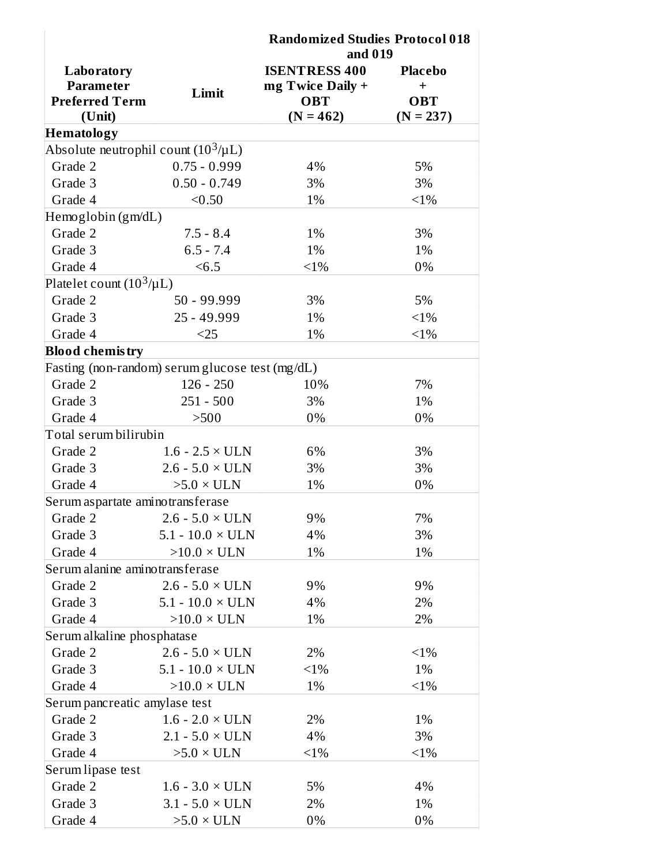|                                                         |                                                 | <b>Randomized Studies Protocol 018</b><br>and 019      |                                     |  |
|---------------------------------------------------------|-------------------------------------------------|--------------------------------------------------------|-------------------------------------|--|
| Laboratory<br><b>Parameter</b><br><b>Preferred Term</b> | Limit                                           | <b>ISENTRESS 400</b><br>mg Twice Daily +<br><b>OBT</b> | <b>Placebo</b><br>$+$<br><b>OBT</b> |  |
| (Unit)                                                  |                                                 | $(N = 462)$                                            | $(N = 237)$                         |  |
| Hematology<br>Absolute neutrophil count $(10^3/\mu L)$  |                                                 |                                                        |                                     |  |
| Grade 2                                                 | $0.75 - 0.999$                                  | 4%                                                     | 5%                                  |  |
| Grade 3                                                 | $0.50 - 0.749$                                  | 3%                                                     | 3%                                  |  |
| Grade 4                                                 | < 0.50                                          | 1%                                                     | $<1\%$                              |  |
| Hemoglobin (gm/dL)                                      |                                                 |                                                        |                                     |  |
| Grade 2                                                 | $7.5 - 8.4$                                     | 1%                                                     | 3%                                  |  |
| Grade 3                                                 | $6.5 - 7.4$                                     | 1%                                                     | 1%                                  |  |
| Grade 4                                                 | < 6.5                                           | $<1\%$                                                 | 0%                                  |  |
| Platelet count $(10^3/\mu L)$                           |                                                 |                                                        |                                     |  |
| Grade 2                                                 | $50 - 99.999$                                   | 3%                                                     | 5%                                  |  |
| Grade 3                                                 | 25 - 49.999                                     | 1%                                                     | $<1\%$                              |  |
| Grade 4                                                 | $25$                                            | 1%                                                     | $<1\%$                              |  |
| <b>Blood chemistry</b>                                  |                                                 |                                                        |                                     |  |
|                                                         | Fasting (non-random) serum glucose test (mg/dL) |                                                        |                                     |  |
| Grade 2                                                 | $126 - 250$                                     | 10%                                                    | 7%                                  |  |
| Grade 3                                                 | $251 - 500$                                     | 3%                                                     | 1%                                  |  |
| Grade 4                                                 | >500                                            | 0%                                                     | 0%                                  |  |
| Total serum bilirubin                                   |                                                 |                                                        |                                     |  |
| Grade 2                                                 | $1.6 - 2.5 \times ULN$                          | 6%                                                     | 3%                                  |  |
| Grade 3                                                 | $2.6 - 5.0 \times ULN$                          | 3%                                                     | 3%                                  |  |
| Grade 4                                                 | $>5.0 \times ULN$                               | 1%                                                     | 0%                                  |  |
| Serum aspartate aminotransferase                        |                                                 |                                                        |                                     |  |
| Grade 2                                                 | $2.6 - 5.0 \times \text{ULN}$                   | 9%                                                     | 7%                                  |  |
| Grade 3                                                 | $5.1 - 10.0 \times ULN$                         | 4%                                                     | 3%                                  |  |
| Grade 4                                                 | $>10.0\times$ ULN                               | 1%                                                     | 1%                                  |  |
| Serum alanine aminotransferase                          |                                                 |                                                        |                                     |  |
| Grade 2                                                 | $2.6 - 5.0 \times \text{ULN}$                   | 9%                                                     | 9%                                  |  |
| Grade 3                                                 | $5.1 - 10.0 \times ULN$                         | 4%                                                     | 2%                                  |  |
| Grade 4                                                 | $>10.0 \times ULN$                              | 1%                                                     | 2%                                  |  |
| Serum alkaline phosphatase                              |                                                 |                                                        |                                     |  |
| Grade 2                                                 | $2.6 - 5.0 \times \text{ULN}$                   | 2%                                                     | $<1\%$                              |  |
| Grade 3                                                 | $5.1 - 10.0 \times ULN$                         | $<1\%$                                                 | 1%                                  |  |
| Grade 4                                                 | $>10.0 \times ULN$                              | 1%                                                     | $<1\%$                              |  |
| Serum pancreatic amylase test                           |                                                 |                                                        |                                     |  |
| Grade 2                                                 | $1.6 - 2.0 \times ULN$                          | 2%                                                     | 1%                                  |  |
| Grade 3                                                 | $2.1 - 5.0 \times ULN$                          | 4%                                                     | 3%                                  |  |
| Grade 4                                                 | $>5.0 \times ULN$                               | ${<}1\%$                                               | $<1\%$                              |  |
| Serum lipase test                                       |                                                 |                                                        |                                     |  |
| Grade 2                                                 | $1.6 - 3.0 \times ULN$                          | 5%                                                     | 4%                                  |  |
| Grade 3                                                 | $3.1 - 5.0 \times ULN$                          | 2%                                                     | 1%                                  |  |
| Grade 4                                                 | $>5.0 \times ULN$                               | 0%                                                     | 0%                                  |  |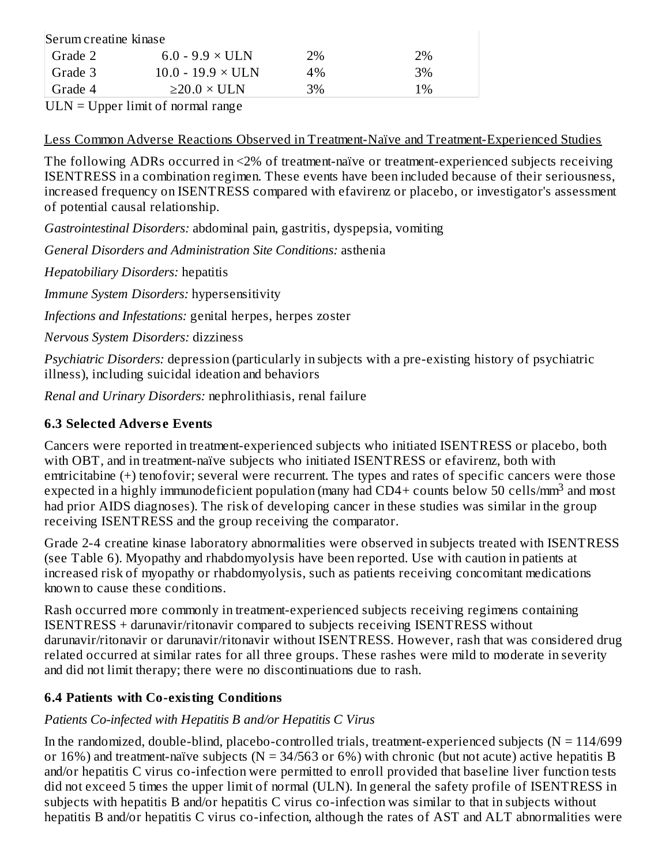| Serum creatine kinase |                                 |       |       |
|-----------------------|---------------------------------|-------|-------|
| Grade 2               | $6.0 - 9.9 \times \text{ULN}$   | 2%    | 2%    |
| Grade 3               | $10.0 - 19.9 \times \text{ULN}$ | $4\%$ | 3%    |
| Grade 4               | $>20.0 \times \text{ULN}$       | 3%    | $1\%$ |

 $ULN = Upper$  limit of normal range

Less Common Adverse Reactions Observed in Treatment-Naïve and Treatment-Experienced Studies

The following ADRs occurred in <2% of treatment-naïve or treatment-experienced subjects receiving ISENTRESS in a combination regimen. These events have been included because of their seriousness, increased frequency on ISENTRESS compared with efavirenz or placebo, or investigator's assessment of potential causal relationship.

*Gastrointestinal Disorders:* abdominal pain, gastritis, dyspepsia, vomiting

*General Disorders and Administration Site Conditions:* asthenia

*Hepatobiliary Disorders:* hepatitis

*Immune System Disorders:* hypersensitivity

*Infections and Infestations:* genital herpes, herpes zoster

*Nervous System Disorders:* dizziness

*Psychiatric Disorders:* depression (particularly in subjects with a pre-existing history of psychiatric illness), including suicidal ideation and behaviors

*Renal and Urinary Disorders:* nephrolithiasis, renal failure

## **6.3 Selected Advers e Events**

Cancers were reported in treatment-experienced subjects who initiated ISENTRESS or placebo, both with OBT, and in treatment-naïve subjects who initiated ISENTRESS or efavirenz, both with emtricitabine (+) tenofovir; several were recurrent. The types and rates of specific cancers were those expected in a highly immunodeficient population (many had CD4+ counts below 50 cells/mm<sup>3</sup> and most had prior AIDS diagnoses). The risk of developing cancer in these studies was similar in the group receiving ISENTRESS and the group receiving the comparator.

Grade 2-4 creatine kinase laboratory abnormalities were observed in subjects treated with ISENTRESS (see Table 6). Myopathy and rhabdomyolysis have been reported. Use with caution in patients at increased risk of myopathy or rhabdomyolysis, such as patients receiving concomitant medications known to cause these conditions.

Rash occurred more commonly in treatment-experienced subjects receiving regimens containing ISENTRESS + darunavir/ritonavir compared to subjects receiving ISENTRESS without darunavir/ritonavir or darunavir/ritonavir without ISENTRESS. However, rash that was considered drug related occurred at similar rates for all three groups. These rashes were mild to moderate in severity and did not limit therapy; there were no discontinuations due to rash.

### **6.4 Patients with Co-existing Conditions**

## *Patients Co-infected with Hepatitis B and/or Hepatitis C Virus*

In the randomized, double-blind, placebo-controlled trials, treatment-experienced subjects ( $N = 114/699$ ) or 16%) and treatment-naïve subjects ( $N = 34/563$  or 6%) with chronic (but not acute) active hepatitis B and/or hepatitis C virus co-infection were permitted to enroll provided that baseline liver function tests did not exceed 5 times the upper limit of normal (ULN). In general the safety profile of ISENTRESS in subjects with hepatitis B and/or hepatitis C virus co-infection was similar to that in subjects without hepatitis B and/or hepatitis C virus co-infection, although the rates of AST and ALT abnormalities were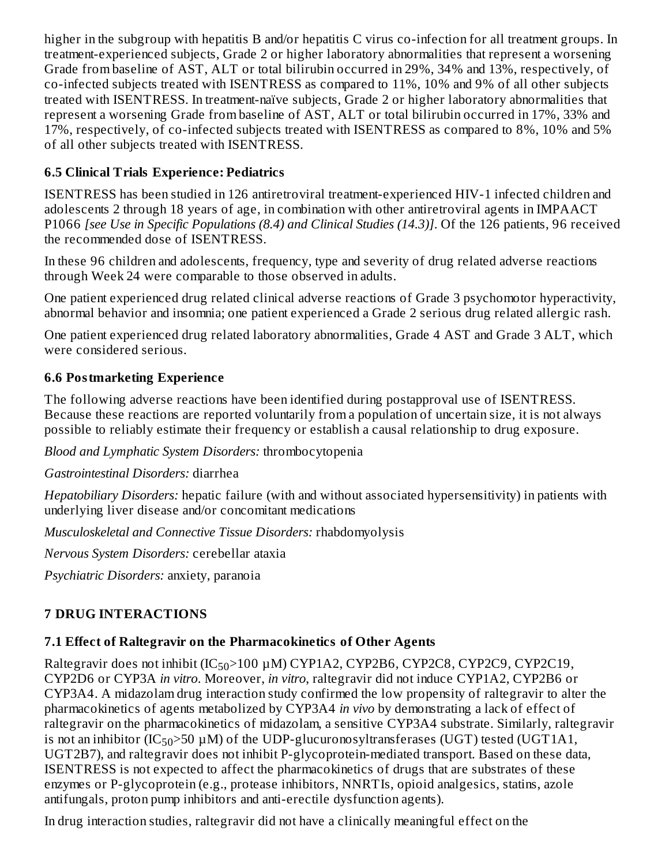higher in the subgroup with hepatitis B and/or hepatitis C virus co-infection for all treatment groups. In treatment-experienced subjects, Grade 2 or higher laboratory abnormalities that represent a worsening Grade from baseline of AST, ALT or total bilirubin occurred in 29%, 34% and 13%, respectively, of co-infected subjects treated with ISENTRESS as compared to 11%, 10% and 9% of all other subjects treated with ISENTRESS. In treatment-naïve subjects, Grade 2 or higher laboratory abnormalities that represent a worsening Grade from baseline of AST, ALT or total bilirubin occurred in 17%, 33% and 17%, respectively, of co-infected subjects treated with ISENTRESS as compared to 8%, 10% and 5% of all other subjects treated with ISENTRESS.

## **6.5 Clinical Trials Experience: Pediatrics**

ISENTRESS has been studied in 126 antiretroviral treatment-experienced HIV-1 infected children and adolescents 2 through 18 years of age, in combination with other antiretroviral agents in IMPAACT P1066 *[see Use in Specific Populations (8.4) and Clinical Studies (14.3)]*. Of the 126 patients, 96 received the recommended dose of ISENTRESS.

In these 96 children and adolescents, frequency, type and severity of drug related adverse reactions through Week 24 were comparable to those observed in adults.

One patient experienced drug related clinical adverse reactions of Grade 3 psychomotor hyperactivity, abnormal behavior and insomnia; one patient experienced a Grade 2 serious drug related allergic rash.

One patient experienced drug related laboratory abnormalities, Grade 4 AST and Grade 3 ALT, which were considered serious.

## **6.6 Postmarketing Experience**

The following adverse reactions have been identified during postapproval use of ISENTRESS. Because these reactions are reported voluntarily from a population of uncertain size, it is not always possible to reliably estimate their frequency or establish a causal relationship to drug exposure.

*Blood and Lymphatic System Disorders:* thrombocytopenia

*Gastrointestinal Disorders:* diarrhea

*Hepatobiliary Disorders:* hepatic failure (with and without associated hypersensitivity) in patients with underlying liver disease and/or concomitant medications

*Musculoskeletal and Connective Tissue Disorders:* rhabdomyolysis

*Nervous System Disorders:* cerebellar ataxia

*Psychiatric Disorders:* anxiety, paranoia

# **7 DRUG INTERACTIONS**

# **7.1 Effect of Raltegravir on the Pharmacokinetics of Other Agents**

Raltegravir does not inhibit (IC<sub>50</sub>>100 µM) CYP1A2, CYP2B6, CYP2C8, CYP2C9, CYP2C19, CYP2D6 or CYP3A *in vitro*. Moreover, *in vitro*, raltegravir did not induce CYP1A2, CYP2B6 or CYP3A4. A midazolam drug interaction study confirmed the low propensity of raltegravir to alter the pharmacokinetics of agents metabolized by CYP3A4 *in vivo* by demonstrating a lack of effect of raltegravir on the pharmacokinetics of midazolam, a sensitive CYP3A4 substrate. Similarly, raltegravir is not an inhibitor (IC<sub>50</sub>>50  $\mu$ M) of the UDP-glucuronosyltransferases (UGT) tested (UGT1A1, UGT2B7), and raltegravir does not inhibit P-glycoprotein-mediated transport. Based on these data, ISENTRESS is not expected to affect the pharmacokinetics of drugs that are substrates of these enzymes or P-glycoprotein (e.g., protease inhibitors, NNRTIs, opioid analgesics, statins, azole antifungals, proton pump inhibitors and anti-erectile dysfunction agents).

In drug interaction studies, raltegravir did not have a clinically meaningful effect on the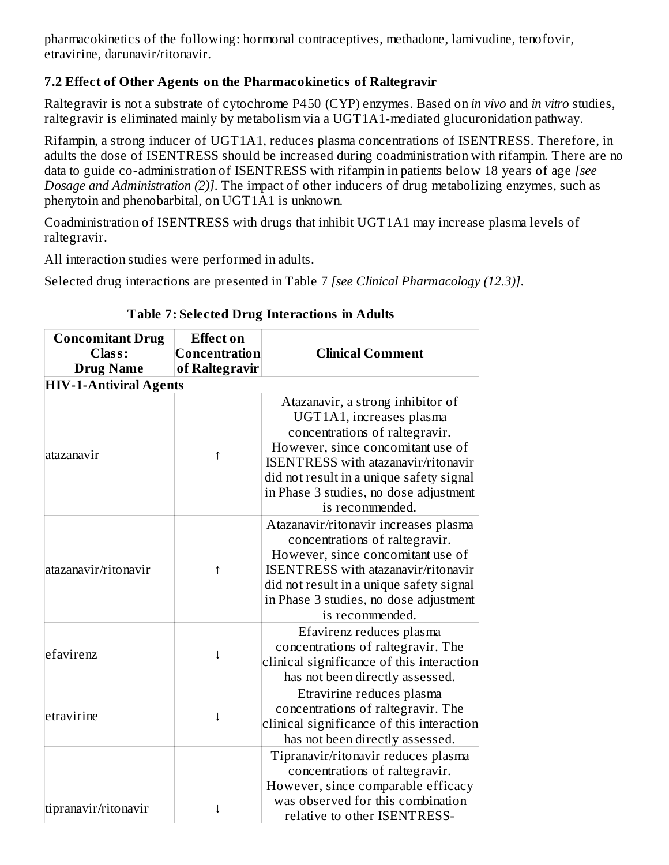pharmacokinetics of the following: hormonal contraceptives, methadone, lamivudine, tenofovir, etravirine, darunavir/ritonavir.

### **7.2 Effect of Other Agents on the Pharmacokinetics of Raltegravir**

Raltegravir is not a substrate of cytochrome P450 (CYP) enzymes. Based on *in vivo* and *in vitro* studies, raltegravir is eliminated mainly by metabolism via a UGT1A1-mediated glucuronidation pathway.

Rifampin, a strong inducer of UGT1A1, reduces plasma concentrations of ISENTRESS. Therefore, in adults the dose of ISENTRESS should be increased during coadministration with rifampin. There are no data to guide co-administration of ISENTRESS with rifampin in patients below 18 years of age *[see Dosage and Administration (2)]*. The impact of other inducers of drug metabolizing enzymes, such as phenytoin and phenobarbital, on UGT1A1 is unknown.

Coadministration of ISENTRESS with drugs that inhibit UGT1A1 may increase plasma levels of raltegravir.

All interaction studies were performed in adults.

Selected drug interactions are presented in Table 7 *[see Clinical Pharmacology (12.3)]*.

| <b>Concomitant Drug</b><br>Class:<br><b>Drug Name</b> | <b>Effect on</b><br>Concentration<br>of Raltegravir | <b>Clinical Comment</b>                                                                                                                                                                                                                                                              |
|-------------------------------------------------------|-----------------------------------------------------|--------------------------------------------------------------------------------------------------------------------------------------------------------------------------------------------------------------------------------------------------------------------------------------|
| <b>HIV-1-Antiviral Agents</b>                         |                                                     |                                                                                                                                                                                                                                                                                      |
| atazanavir                                            | ↑                                                   | Atazanavir, a strong inhibitor of<br>UGT1A1, increases plasma<br>concentrations of raltegravir.<br>However, since concomitant use of<br>ISENTRESS with atazanavir/ritonavir<br>did not result in a unique safety signal<br>in Phase 3 studies, no dose adjustment<br>is recommended. |
| atazanavir/ritonavir                                  | ↑                                                   | Atazanavir/ritonavir increases plasma<br>concentrations of raltegravir.<br>However, since concomitant use of<br><b>ISENTRESS</b> with atazanavir/ritonavir<br>did not result in a unique safety signal<br>in Phase 3 studies, no dose adjustment<br>is recommended.                  |
| efavirenz                                             |                                                     | Efavirenz reduces plasma<br>concentrations of raltegravir. The<br>clinical significance of this interaction<br>has not been directly assessed.                                                                                                                                       |
| etravirine                                            |                                                     | Etravirine reduces plasma<br>concentrations of raltegravir. The<br>clinical significance of this interaction<br>has not been directly assessed.                                                                                                                                      |
| tipranavir/ritonavir                                  |                                                     | Tipranavir/ritonavir reduces plasma<br>concentrations of raltegravir.<br>However, since comparable efficacy<br>was observed for this combination<br>relative to other ISENTRESS-                                                                                                     |

**Table 7: Selected Drug Interactions in Adults**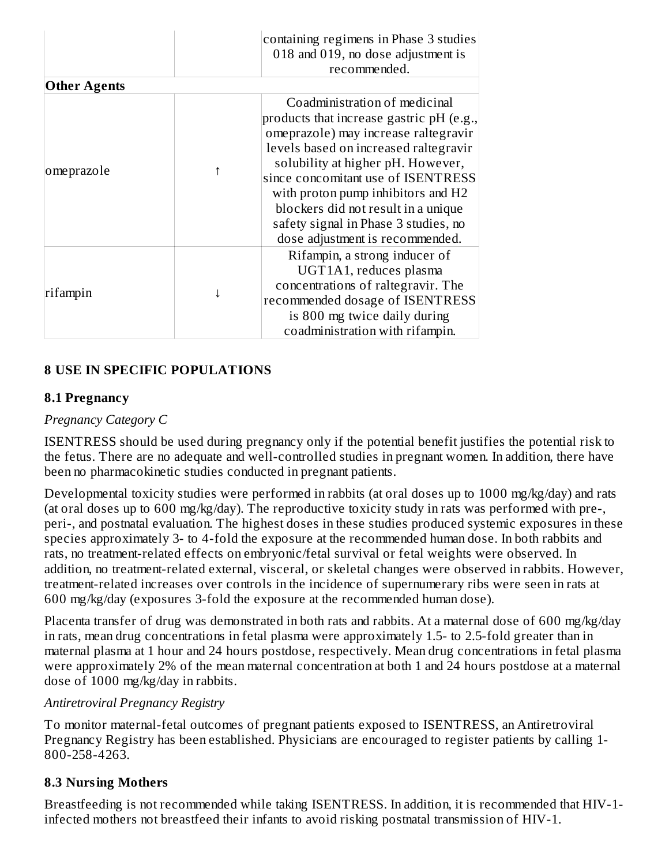| <b>Other Agents</b> | containing regimens in Phase 3 studies<br>018 and 019, no dose adjustment is<br>recommended.                                                                                                                                                                                                                                                                                                  |
|---------------------|-----------------------------------------------------------------------------------------------------------------------------------------------------------------------------------------------------------------------------------------------------------------------------------------------------------------------------------------------------------------------------------------------|
| omeprazole          | Coadministration of medicinal<br>products that increase gastric pH (e.g.,<br>omeprazole) may increase raltegravir<br>levels based on increased raltegravir<br>solubility at higher pH. However,<br>since concomitant use of ISENTRESS<br>with proton pump inhibitors and H2<br>blockers did not result in a unique<br>safety signal in Phase 3 studies, no<br>dose adjustment is recommended. |
| rifampin            | Rifampin, a strong inducer of<br>UGT1A1, reduces plasma<br>concentrations of raltegravir. The<br>recommended dosage of ISENTRESS<br>is 800 mg twice daily during<br>coadministration with rifampin.                                                                                                                                                                                           |

### **8 USE IN SPECIFIC POPULATIONS**

### **8.1 Pregnancy**

### *Pregnancy Category C*

ISENTRESS should be used during pregnancy only if the potential benefit justifies the potential risk to the fetus. There are no adequate and well-controlled studies in pregnant women. In addition, there have been no pharmacokinetic studies conducted in pregnant patients.

Developmental toxicity studies were performed in rabbits (at oral doses up to 1000 mg/kg/day) and rats (at oral doses up to 600 mg/kg/day). The reproductive toxicity study in rats was performed with pre-, peri-, and postnatal evaluation. The highest doses in these studies produced systemic exposures in these species approximately 3- to 4-fold the exposure at the recommended human dose. In both rabbits and rats, no treatment-related effects on embryonic/fetal survival or fetal weights were observed. In addition, no treatment-related external, visceral, or skeletal changes were observed in rabbits. However, treatment-related increases over controls in the incidence of supernumerary ribs were seen in rats at 600 mg/kg/day (exposures 3-fold the exposure at the recommended human dose).

Placenta transfer of drug was demonstrated in both rats and rabbits. At a maternal dose of 600 mg/kg/day in rats, mean drug concentrations in fetal plasma were approximately 1.5- to 2.5-fold greater than in maternal plasma at 1 hour and 24 hours postdose, respectively. Mean drug concentrations in fetal plasma were approximately 2% of the mean maternal concentration at both 1 and 24 hours postdose at a maternal dose of 1000 mg/kg/day in rabbits.

### *Antiretroviral Pregnancy Registry*

To monitor maternal-fetal outcomes of pregnant patients exposed to ISENTRESS, an Antiretroviral Pregnancy Registry has been established. Physicians are encouraged to register patients by calling 1- 800-258-4263.

### **8.3 Nursing Mothers**

Breastfeeding is not recommended while taking ISENTRESS. In addition, it is recommended that HIV-1 infected mothers not breastfeed their infants to avoid risking postnatal transmission of HIV-1.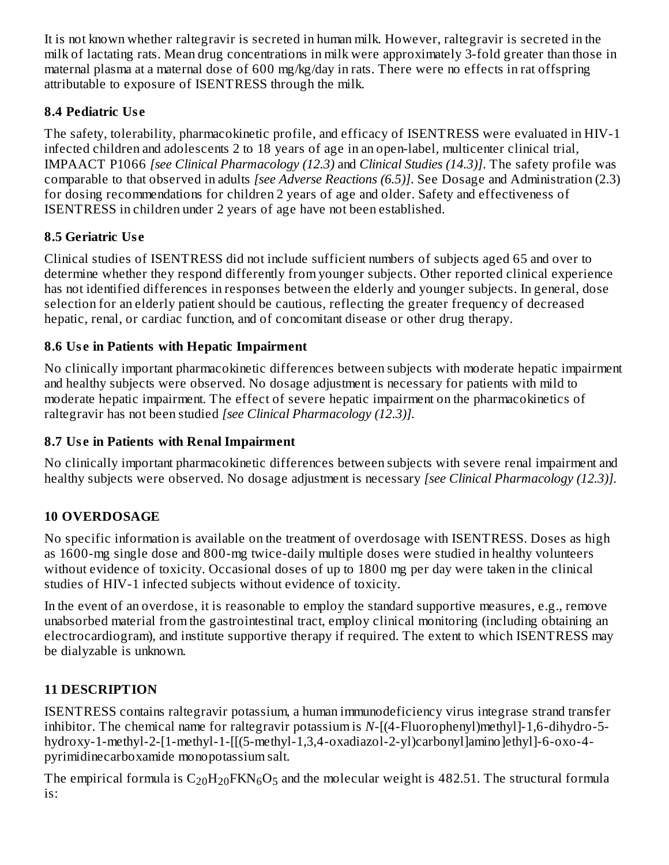It is not known whether raltegravir is secreted in human milk. However, raltegravir is secreted in the milk of lactating rats. Mean drug concentrations in milk were approximately 3-fold greater than those in maternal plasma at a maternal dose of 600 mg/kg/day in rats. There were no effects in rat offspring attributable to exposure of ISENTRESS through the milk.

## **8.4 Pediatric Us e**

The safety, tolerability, pharmacokinetic profile, and efficacy of ISENTRESS were evaluated in HIV-1 infected children and adolescents 2 to 18 years of age in an open-label, multicenter clinical trial, IMPAACT P1066 *[see Clinical Pharmacology (12.3)* and *Clinical Studies (14.3)]*. The safety profile was comparable to that observed in adults *[see Adverse Reactions (6.5)]*. See Dosage and Administration (2.3) for dosing recommendations for children 2 years of age and older. Safety and effectiveness of ISENTRESS in children under 2 years of age have not been established.

## **8.5 Geriatric Us e**

Clinical studies of ISENTRESS did not include sufficient numbers of subjects aged 65 and over to determine whether they respond differently from younger subjects. Other reported clinical experience has not identified differences in responses between the elderly and younger subjects. In general, dose selection for an elderly patient should be cautious, reflecting the greater frequency of decreased hepatic, renal, or cardiac function, and of concomitant disease or other drug therapy.

### **8.6 Us e in Patients with Hepatic Impairment**

No clinically important pharmacokinetic differences between subjects with moderate hepatic impairment and healthy subjects were observed. No dosage adjustment is necessary for patients with mild to moderate hepatic impairment. The effect of severe hepatic impairment on the pharmacokinetics of raltegravir has not been studied *[see Clinical Pharmacology (12.3)].*

### **8.7 Us e in Patients with Renal Impairment**

No clinically important pharmacokinetic differences between subjects with severe renal impairment and healthy subjects were observed. No dosage adjustment is necessary *[see Clinical Pharmacology (12.3)].*

## **10 OVERDOSAGE**

No specific information is available on the treatment of overdosage with ISENTRESS. Doses as high as 1600-mg single dose and 800-mg twice-daily multiple doses were studied in healthy volunteers without evidence of toxicity. Occasional doses of up to 1800 mg per day were taken in the clinical studies of HIV-1 infected subjects without evidence of toxicity.

In the event of an overdose, it is reasonable to employ the standard supportive measures, e.g., remove unabsorbed material from the gastrointestinal tract, employ clinical monitoring (including obtaining an electrocardiogram), and institute supportive therapy if required. The extent to which ISENTRESS may be dialyzable is unknown.

### **11 DESCRIPTION**

ISENTRESS contains raltegravir potassium, a human immunodeficiency virus integrase strand transfer inhibitor. The chemical name for raltegravir potassium is *N*-[(4-Fluorophenyl)methyl]-1,6-dihydro-5 hydroxy-1-methyl-2-[1-methyl-1-[[(5-methyl-1,3,4-oxadiazol-2-yl)carbonyl]amino]ethyl]-6-oxo-4 pyrimidinecarboxamide monopotassium salt.

The empirical formula is  $\rm{C_{20}H_{20}FKN_6O_5}$  and the molecular weight is 482.51. The structural formula is: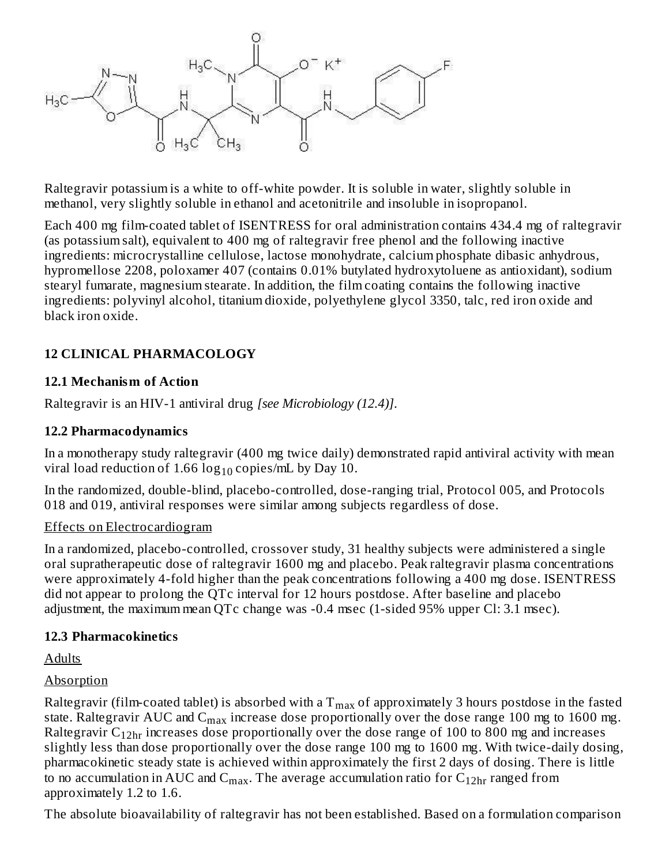

Raltegravir potassium is a white to off-white powder. It is soluble in water, slightly soluble in methanol, very slightly soluble in ethanol and acetonitrile and insoluble in isopropanol.

Each 400 mg film-coated tablet of ISENTRESS for oral administration contains 434.4 mg of raltegravir (as potassium salt), equivalent to 400 mg of raltegravir free phenol and the following inactive ingredients: microcrystalline cellulose, lactose monohydrate, calcium phosphate dibasic anhydrous, hypromellose 2208, poloxamer 407 (contains 0.01% butylated hydroxytoluene as antioxidant), sodium stearyl fumarate, magnesium stearate. In addition, the film coating contains the following inactive ingredients: polyvinyl alcohol, titanium dioxide, polyethylene glycol 3350, talc, red iron oxide and black iron oxide.

## **12 CLINICAL PHARMACOLOGY**

### **12.1 Mechanism of Action**

Raltegravir is an HIV-1 antiviral drug *[see Microbiology (12.4)]*.

### **12.2 Pharmacodynamics**

In a monotherapy study raltegravir (400 mg twice daily) demonstrated rapid antiviral activity with mean viral load reduction of 1.66  $\log_{10}$  copies/mL by Day 10.

In the randomized, double-blind, placebo-controlled, dose-ranging trial, Protocol 005, and Protocols 018 and 019, antiviral responses were similar among subjects regardless of dose.

### Effects on Electrocardiogram

In a randomized, placebo-controlled, crossover study, 31 healthy subjects were administered a single oral supratherapeutic dose of raltegravir 1600 mg and placebo. Peak raltegravir plasma concentrations were approximately 4-fold higher than the peak concentrations following a 400 mg dose. ISENTRESS did not appear to prolong the QTc interval for 12 hours postdose. After baseline and placebo adjustment, the maximum mean QTc change was -0.4 msec (1-sided 95% upper Cl: 3.1 msec).

### **12.3 Pharmacokinetics**

Adults

### Absorption

Raltegravir (film-coated tablet) is absorbed with a  $\rm T_{max}$  of approximately 3 hours postdose in the fasted state. Raltegravir AUC and  $\rm{C_{max}}$  increase dose proportionally over the dose range 100 mg to 1600 mg. Raltegravir  $\rm{C_{12hr}}$  increases dose proportionally over the dose range of 100 to 800 mg and increases slightly less than dose proportionally over the dose range 100 mg to 1600 mg. With twice-daily dosing, pharmacokinetic steady state is achieved within approximately the first 2 days of dosing. There is little to no accumulation in AUC and  $C_{\rm max}.$  The average accumulation ratio for  $C_{\rm 12hr}$  ranged from approximately 1.2 to 1.6.

The absolute bioavailability of raltegravir has not been established. Based on a formulation comparison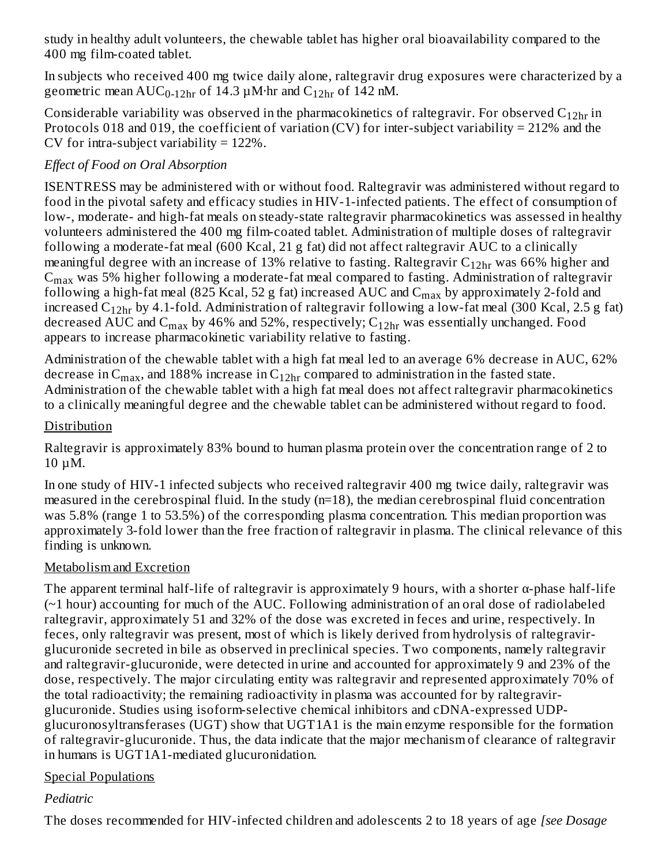study in healthy adult volunteers, the chewable tablet has higher oral bioavailability compared to the 400 mg film-coated tablet.

In subjects who received 400 mg twice daily alone, raltegravir drug exposures were characterized by a geometric mean  $\text{AUC}_{0\text{-}12\text{hr}}$  of 14.3  $\mu$ M·hr and  $\text{C}_{12\text{hr}}$  of 142 nM.

Considerable variability was observed in the pharmacokinetics of raltegravir. For observed  $\rm{C_{12hr}}$  in Protocols 018 and 019, the coefficient of variation  $(CV)$  for inter-subject variability = 212% and the CV for intra-subject variability = 122%.

## *Effect of Food on Oral Absorption*

ISENTRESS may be administered with or without food. Raltegravir was administered without regard to food in the pivotal safety and efficacy studies in HIV-1-infected patients. The effect of consumption of low-, moderate- and high-fat meals on steady-state raltegravir pharmacokinetics was assessed in healthy volunteers administered the 400 mg film-coated tablet. Administration of multiple doses of raltegravir following a moderate-fat meal (600 Kcal, 21 g fat) did not affect raltegravir AUC to a clinically meaningful degree with an increase of 13% relative to fasting. Raltegravir  $\rm{C_{12hr}}$  was 66% higher and  $\mathsf{C}_{\max}$  was 5% higher following a moderate-fat meal compared to fasting. Administration of raltegravir following a high-fat meal (825 Kcal, 52 g fat) increased AUC and  $\rm{C_{max}}$  by approximately 2-fold and increased C $_{\rm 12hr}$  by 4.1-fold. Administration of raltegravir following a low-fat meal (300 Kcal, 2.5 g fat) decreased AUC and  $\rm C_{max}$  by 46% and 52%, respectively;  $\rm C_{12hr}$  was essentially unchanged. Food appears to increase pharmacokinetic variability relative to fasting.

Administration of the chewable tablet with a high fat meal led to an average 6% decrease in AUC, 62% decrease in C $_{\rm max}$ , and 188% increase in C $_{\rm 12hr}$  compared to administration in the fasted state. Administration of the chewable tablet with a high fat meal does not affect raltegravir pharmacokinetics to a clinically meaningful degree and the chewable tablet can be administered without regard to food.

### Distribution

Raltegravir is approximately 83% bound to human plasma protein over the concentration range of 2 to 10 µM.

In one study of HIV-1 infected subjects who received raltegravir 400 mg twice daily, raltegravir was measured in the cerebrospinal fluid. In the study (n=18), the median cerebrospinal fluid concentration was 5.8% (range 1 to 53.5%) of the corresponding plasma concentration. This median proportion was approximately 3-fold lower than the free fraction of raltegravir in plasma. The clinical relevance of this finding is unknown.

### Metabolism and Excretion

The apparent terminal half-life of raltegravir is approximately 9 hours, with a shorter  $\alpha$ -phase half-life (~1 hour) accounting for much of the AUC. Following administration of an oral dose of radiolabeled raltegravir, approximately 51 and 32% of the dose was excreted in feces and urine, respectively. In feces, only raltegravir was present, most of which is likely derived from hydrolysis of raltegravirglucuronide secreted in bile as observed in preclinical species. Two components, namely raltegravir and raltegravir-glucuronide, were detected in urine and accounted for approximately 9 and 23% of the dose, respectively. The major circulating entity was raltegravir and represented approximately 70% of the total radioactivity; the remaining radioactivity in plasma was accounted for by raltegravirglucuronide. Studies using isoform-selective chemical inhibitors and cDNA-expressed UDPglucuronosyltransferases (UGT) show that UGT1A1 is the main enzyme responsible for the formation of raltegravir-glucuronide. Thus, the data indicate that the major mechanism of clearance of raltegravir in humans is UGT1A1-mediated glucuronidation.

### Special Populations

### *Pediatric*

The doses recommended for HIV-infected children and adolescents 2 to 18 years of age *[see Dosage*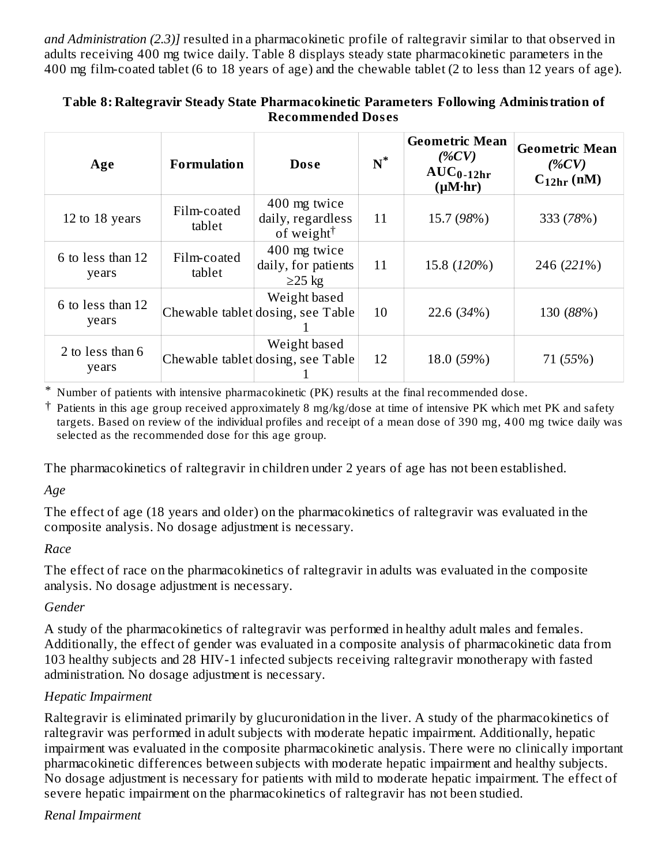*and Administration (2.3)]* resulted in a pharmacokinetic profile of raltegravir similar to that observed in adults receiving 400 mg twice daily. Table 8 displays steady state pharmacokinetic parameters in the 400 mg film-coated tablet (6 to 18 years of age) and the chewable tablet (2 to less than 12 years of age).

#### **Table 8: Raltegravir Steady State Pharmacokinetic Parameters Following Administration of Recommended Dos es**

| Age                        | <b>Formulation</b>    | Dose                                                        | $N^*$ | <b>Geometric Mean</b><br>$(\%CV)$<br>$AUC_{0-12hr}$<br>$(\mu M \cdot hr)$ | <b>Geometric Mean</b><br>$(\%CV)$<br>$C_{12hr}$ (nM) |
|----------------------------|-----------------------|-------------------------------------------------------------|-------|---------------------------------------------------------------------------|------------------------------------------------------|
| 12 to 18 years             | Film-coated<br>tablet | 400 mg twice<br>daily, regardless<br>of weight $^{\dagger}$ | 11    | 15.7 (98%)                                                                | 333 (78%)                                            |
| 6 to less than 12<br>years | Film-coated<br>tablet | 400 mg twice<br>daily, for patients<br>$\geq$ 25 kg         | 11    | 15.8 (120%)                                                               | 246 (221%)                                           |
| 6 to less than 12<br>years |                       | Weight based<br>Chewable tablet dosing, see Table           | 10    | 22.6 (34%)                                                                | 130 (88%)                                            |
| 2 to less than 6<br>years  |                       | Weight based<br>Chewable tablet dosing, see Table           | 12    | 18.0 (59%)                                                                | 71 (55%)                                             |

\* Number of patients with intensive pharmacokinetic (PK) results at the final recommended dose.

† Patients in this age group received approximately 8 mg/kg/dose at time of intensive PK which met PK and safety targets. Based on review of the individual profiles and receipt of a mean dose of 390 mg, 4 00 mg twice daily was selected as the recommended dose for this age group.

The pharmacokinetics of raltegravir in children under 2 years of age has not been established.

*Age*

The effect of age (18 years and older) on the pharmacokinetics of raltegravir was evaluated in the composite analysis. No dosage adjustment is necessary.

### *Race*

The effect of race on the pharmacokinetics of raltegravir in adults was evaluated in the composite analysis. No dosage adjustment is necessary.

#### *Gender*

A study of the pharmacokinetics of raltegravir was performed in healthy adult males and females. Additionally, the effect of gender was evaluated in a composite analysis of pharmacokinetic data from 103 healthy subjects and 28 HIV-1 infected subjects receiving raltegravir monotherapy with fasted administration. No dosage adjustment is necessary.

### *Hepatic Impairment*

Raltegravir is eliminated primarily by glucuronidation in the liver. A study of the pharmacokinetics of raltegravir was performed in adult subjects with moderate hepatic impairment. Additionally, hepatic impairment was evaluated in the composite pharmacokinetic analysis. There were no clinically important pharmacokinetic differences between subjects with moderate hepatic impairment and healthy subjects. No dosage adjustment is necessary for patients with mild to moderate hepatic impairment. The effect of severe hepatic impairment on the pharmacokinetics of raltegravir has not been studied.

### *Renal Impairment*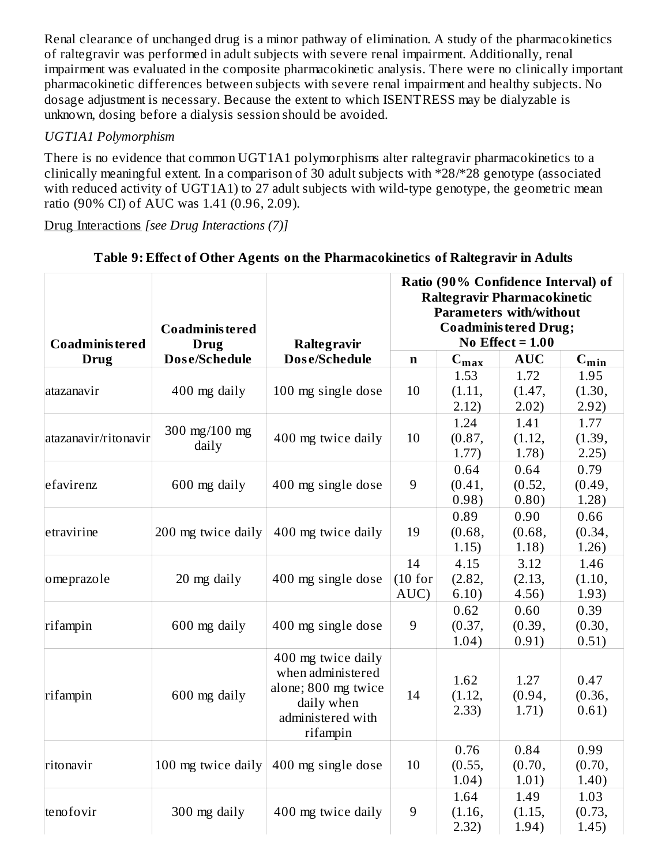Renal clearance of unchanged drug is a minor pathway of elimination. A study of the pharmacokinetics of raltegravir was performed in adult subjects with severe renal impairment. Additionally, renal impairment was evaluated in the composite pharmacokinetic analysis. There were no clinically important pharmacokinetic differences between subjects with severe renal impairment and healthy subjects. No dosage adjustment is necessary. Because the extent to which ISENTRESS may be dialyzable is unknown, dosing before a dialysis session should be avoided.

### *UGT1A1 Polymorphism*

There is no evidence that common UGT1A1 polymorphisms alter raltegravir pharmacokinetics to a clinically meaningful extent. In a comparison of 30 adult subjects with \*28/\*28 genotype (associated with reduced activity of UGT1A1) to 27 adult subjects with wild-type genotype, the geometric mean ratio (90% CI) of AUC was 1.41 (0.96, 2.09).

Drug Interactions *[see Drug Interactions (7)]*

| Coadministered       | Coadministered<br><b>Drug</b> | Raltegravir                                                                                                   | Ratio (90% Confidence Interval) of<br><b>Raltegravir Pharmacokinetic</b><br><b>Parameters with/without</b><br><b>Coadministered Drug;</b><br>No Effect $= 1.00$ |                         |                         |                         |
|----------------------|-------------------------------|---------------------------------------------------------------------------------------------------------------|-----------------------------------------------------------------------------------------------------------------------------------------------------------------|-------------------------|-------------------------|-------------------------|
| Drug                 | Dose/Schedule                 | Dose/Schedule                                                                                                 | $\mathbf n$                                                                                                                                                     | $C_{\text{max}}$        | <b>AUC</b>              | $C_{\min}$              |
| atazanavir           | 400 mg daily                  | 100 mg single dose                                                                                            | 10                                                                                                                                                              | 1.53<br>(1.11,<br>2.12) | 1.72<br>(1.47,<br>2.02) | 1.95<br>(1.30,<br>2.92) |
| atazanavir/ritonavir | 300 mg/100 mg<br>daily        | 400 mg twice daily                                                                                            | 10                                                                                                                                                              | 1.24<br>(0.87,<br>1.77) | 1.41<br>(1.12,<br>1.78) | 1.77<br>(1.39,<br>2.25) |
| efavirenz            | 600 mg daily                  | 400 mg single dose                                                                                            | 9                                                                                                                                                               | 0.64<br>(0.41,<br>0.98) | 0.64<br>(0.52,<br>0.80) | 0.79<br>(0.49,<br>1.28) |
| etravirine           | 200 mg twice daily            | 400 mg twice daily                                                                                            | 19                                                                                                                                                              | 0.89<br>(0.68,<br>1.15) | 0.90<br>(0.68,<br>1.18) | 0.66<br>(0.34,<br>1.26) |
| omeprazole           | 20 mg daily                   | 400 mg single dose                                                                                            | 14<br>(10 for<br>AUC)                                                                                                                                           | 4.15<br>(2.82,<br>6.10) | 3.12<br>(2.13,<br>4.56) | 1.46<br>(1.10,<br>1.93) |
| rifampin             | 600 mg daily                  | 400 mg single dose                                                                                            | 9                                                                                                                                                               | 0.62<br>(0.37,<br>1.04) | 0.60<br>(0.39,<br>0.91) | 0.39<br>(0.30,<br>0.51) |
| rifampin             | 600 mg daily                  | 400 mg twice daily<br>when administered<br>alone; 800 mg twice<br>daily when<br>administered with<br>rifampin | 14                                                                                                                                                              | 1.62<br>(1.12,<br>2.33) | 1.27<br>(0.94,<br>1.71) | 0.47<br>(0.36,<br>0.61) |
| ritonavir            | 100 mg twice daily            | 400 mg single dose                                                                                            | 10                                                                                                                                                              | 0.76<br>(0.55,<br>1.04) | 0.84<br>(0.70,<br>1.01) | 0.99<br>(0.70,<br>1.40) |
| tenofovir            | 300 mg daily                  | 400 mg twice daily                                                                                            | 9                                                                                                                                                               | 1.64<br>(1.16,<br>2.32) | 1.49<br>(1.15,<br>1.94) | 1.03<br>(0.73,<br>1.45) |

### **Table 9: Effect of Other Agents on the Pharmacokinetics of Raltegravir in Adults**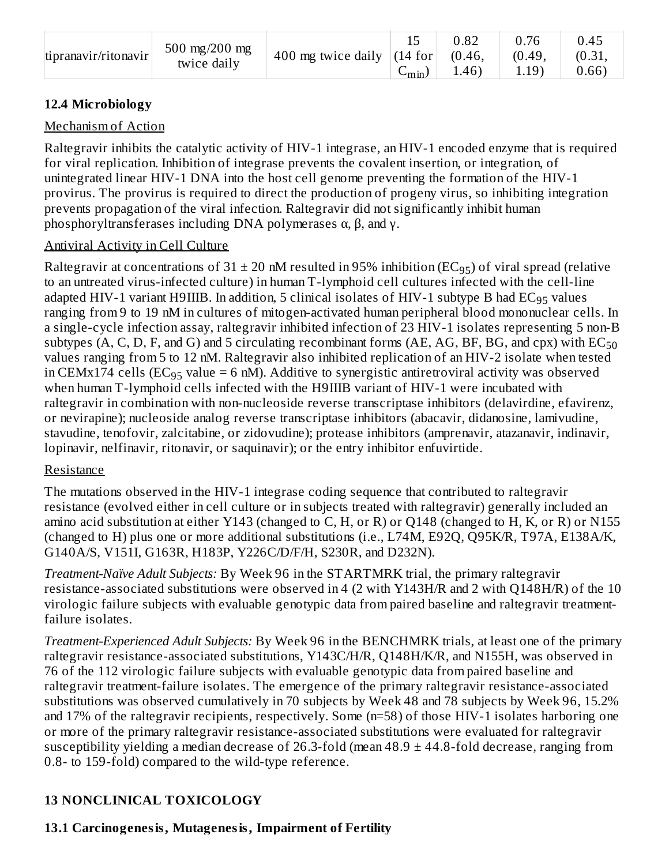| tipranavir/ritonavir | 500 mg/200 mg<br>twice daily | 400 mg twice daily $(14$ for | $\cup_{\min}$ ) | 0.82<br>(0.46,<br>1.46) | 0.76<br>(0.49,<br>1.19 | 0.45<br>(0.31,<br>0.66) |
|----------------------|------------------------------|------------------------------|-----------------|-------------------------|------------------------|-------------------------|
|----------------------|------------------------------|------------------------------|-----------------|-------------------------|------------------------|-------------------------|

### **12.4 Microbiology**

#### Mechanism of Action

Raltegravir inhibits the catalytic activity of HIV-1 integrase, an HIV-1 encoded enzyme that is required for viral replication. Inhibition of integrase prevents the covalent insertion, or integration, of unintegrated linear HIV-1 DNA into the host cell genome preventing the formation of the HIV-1 provirus. The provirus is required to direct the production of progeny virus, so inhibiting integration prevents propagation of the viral infection. Raltegravir did not significantly inhibit human phosphoryltransferases including DNA polymerases  $α$ ,  $β$ , and  $γ$ .

### Antiviral Activity in Cell Culture

Raltegravir at concentrations of 31  $\pm$  20 nM resulted in 95% inhibition (EC<sub>95</sub>) of viral spread (relative to an untreated virus-infected culture) in human T-lymphoid cell cultures infected with the cell-line adapted HIV-1 variant H9IIIB. In addition, 5 clinical isolates of HIV-1 subtype B had  $\rm EC_{95}$  values ranging from 9 to 19 nM in cultures of mitogen-activated human peripheral blood mononuclear cells. In a single-cycle infection assay, raltegravir inhibited infection of 23 HIV-1 isolates representing 5 non-B subtypes  $(A, C, D, F, and G)$  and 5 circulating recombinant forms  $(AE, AG, BF, BG, and cpx)$  with  $EC_{50}$ values ranging from 5 to 12 nM. Raltegravir also inhibited replication of an HIV-2 isolate when tested in CEMx174 cells (EC $_{95}$  value = 6 nM). Additive to synergistic antiretroviral activity was observed when human T-lymphoid cells infected with the H9IIIB variant of HIV-1 were incubated with raltegravir in combination with non-nucleoside reverse transcriptase inhibitors (delavirdine, efavirenz, or nevirapine); nucleoside analog reverse transcriptase inhibitors (abacavir, didanosine, lamivudine, stavudine, tenofovir, zalcitabine, or zidovudine); protease inhibitors (amprenavir, atazanavir, indinavir, lopinavir, nelfinavir, ritonavir, or saquinavir); or the entry inhibitor enfuvirtide.

#### Resistance

The mutations observed in the HIV-1 integrase coding sequence that contributed to raltegravir resistance (evolved either in cell culture or in subjects treated with raltegravir) generally included an amino acid substitution at either Y143 (changed to C, H, or R) or Q148 (changed to H, K, or R) or N155 (changed to H) plus one or more additional substitutions (i.e., L74M, E92Q, Q95K/R, T97A, E138A/K, G140A/S, V151I, G163R, H183P, Y226C/D/F/H, S230R, and D232N).

*Treatment-Naïve Adult Subjects:* By Week 96 in the STARTMRK trial, the primary raltegravir resistance-associated substitutions were observed in 4 (2 with Y143H/R and 2 with Q148H/R) of the 10 virologic failure subjects with evaluable genotypic data from paired baseline and raltegravir treatmentfailure isolates.

*Treatment-Experienced Adult Subjects:* By Week 96 in the BENCHMRK trials, at least one of the primary raltegravir resistance-associated substitutions, Y143C/H/R, Q148H/K/R, and N155H, was observed in 76 of the 112 virologic failure subjects with evaluable genotypic data from paired baseline and raltegravir treatment-failure isolates. The emergence of the primary raltegravir resistance-associated substitutions was observed cumulatively in 70 subjects by Week 48 and 78 subjects by Week 96, 15.2% and 17% of the raltegravir recipients, respectively. Some (n=58) of those HIV-1 isolates harboring one or more of the primary raltegravir resistance-associated substitutions were evaluated for raltegravir susceptibility yielding a median decrease of 26.3-fold (mean  $48.9 \pm 44.8$ -fold decrease, ranging from 0.8- to 159-fold) compared to the wild-type reference.

### **13 NONCLINICAL TOXICOLOGY**

### **13.1 Carcinogenesis, Mutagenesis, Impairment of Fertility**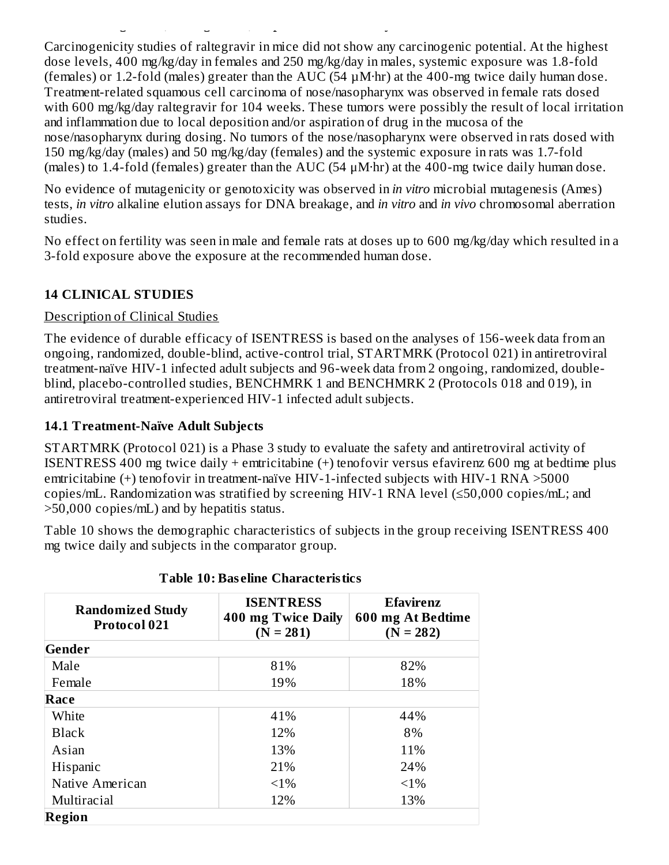Carcinogenicity studies of raltegravir in mice did not show any carcinogenic potential. At the highest dose levels, 400 mg/kg/day in females and 250 mg/kg/day in males, systemic exposure was 1.8-fold (females) or 1.2-fold (males) greater than the AUC (54  $\mu$ M·hr) at the 400-mg twice daily human dose. Treatment-related squamous cell carcinoma of nose/nasopharynx was observed in female rats dosed with 600 mg/kg/day raltegravir for 104 weeks. These tumors were possibly the result of local irritation and inflammation due to local deposition and/or aspiration of drug in the mucosa of the nose/nasopharynx during dosing. No tumors of the nose/nasopharynx were observed in rats dosed with 150 mg/kg/day (males) and 50 mg/kg/day (females) and the systemic exposure in rats was 1.7-fold (males) to 1.4-fold (females) greater than the AUC (54  $\mu$ M·hr) at the 400-mg twice daily human dose.

**13.1 Carcinogenesis, Mutagenesis, Impairment of Fertility**

No evidence of mutagenicity or genotoxicity was observed in *in vitro* microbial mutagenesis (Ames) tests, *in vitro* alkaline elution assays for DNA breakage, and *in vitro* and *in vivo* chromosomal aberration studies.

No effect on fertility was seen in male and female rats at doses up to 600 mg/kg/day which resulted in a 3-fold exposure above the exposure at the recommended human dose.

## **14 CLINICAL STUDIES**

### Description of Clinical Studies

The evidence of durable efficacy of ISENTRESS is based on the analyses of 156-week data from an ongoing, randomized, double-blind, active-control trial, STARTMRK (Protocol 021) in antiretroviral treatment-naïve HIV-1 infected adult subjects and 96-week data from 2 ongoing, randomized, doubleblind, placebo-controlled studies, BENCHMRK 1 and BENCHMRK 2 (Protocols 018 and 019), in antiretroviral treatment-experienced HIV-1 infected adult subjects.

### **14.1 Treatment-Naïve Adult Subjects**

STARTMRK (Protocol 021) is a Phase 3 study to evaluate the safety and antiretroviral activity of ISENTRESS 400 mg twice daily + emtricitabine (+) tenofovir versus efavirenz 600 mg at bedtime plus emtricitabine (+) tenofovir in treatment-naïve HIV-1-infected subjects with HIV-1 RNA >5000 copies/mL. Randomization was stratified by screening HIV-1 RNA level (≤50,000 copies/mL; and >50,000 copies/mL) and by hepatitis status.

Table 10 shows the demographic characteristics of subjects in the group receiving ISENTRESS 400 mg twice daily and subjects in the comparator group.

| <b>Randomized Study</b><br>Protocol 021 | <b>ISENTRESS</b><br>400 mg Twice Daily<br>$(N = 281)$ | <b>Efavirenz</b><br>600 mg At Bedtime<br>$(N = 282)$ |
|-----------------------------------------|-------------------------------------------------------|------------------------------------------------------|
| Gender                                  |                                                       |                                                      |
| Male                                    | 81%                                                   | 82%                                                  |
| Female                                  | 19%                                                   | 18%                                                  |
| Race                                    |                                                       |                                                      |
| White                                   | 41%                                                   | 44%                                                  |
| <b>Black</b>                            | 12%                                                   | 8%                                                   |
| Asian                                   | 13%                                                   | 11%                                                  |
| Hispanic                                | 21%                                                   | 24%                                                  |
| Native American                         | $<1\%$                                                | $<1\%$                                               |
| Multiracial                             | 12%                                                   | 13%                                                  |
| Region                                  |                                                       |                                                      |

### **Table 10: Bas eline Characteristics**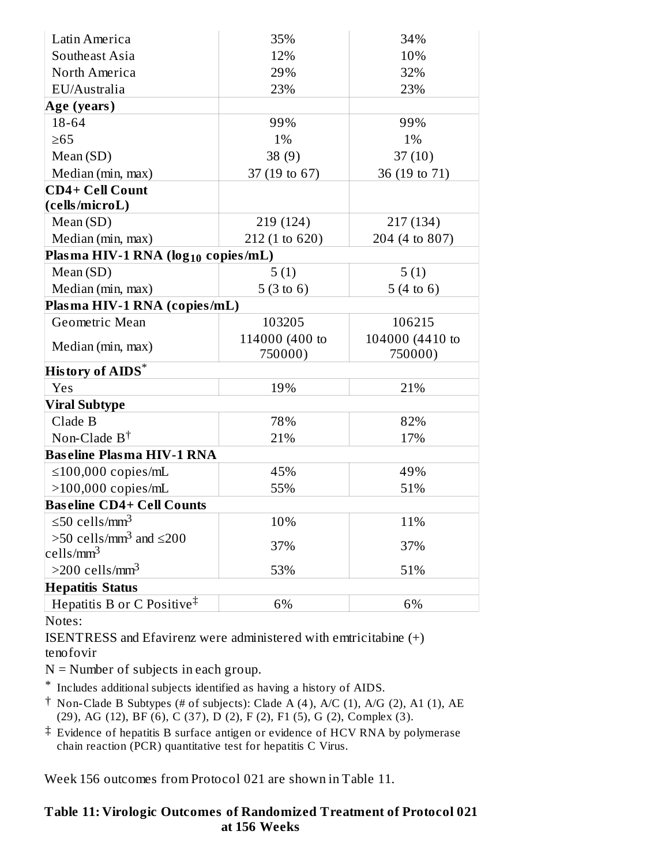| Latin America                                  | 35%            | 34%                  |
|------------------------------------------------|----------------|----------------------|
| Southeast Asia                                 | 12%            | 10%                  |
| North America                                  | 29%            | 32%                  |
| EU/Australia                                   | 23%            | 23%                  |
| Age (years)                                    |                |                      |
| 18-64                                          | 99%            | 99%                  |
| $\geq 65$                                      | 1%             | 1%                   |
| Mean $(SD)$                                    | 38(9)          | 37(10)               |
| Median (min, max)                              | 37 (19 to 67)  | 36 (19 to 71)        |
| <b>CD4+ Cell Count</b>                         |                |                      |
| (cells/microL)                                 |                |                      |
| Mean(SD)                                       | 219 (124)      | 217 (134)            |
| Median (min, max)                              | 212 (1 to 620) | 204 (4 to 807)       |
| Plasma HIV-1 RNA (log <sub>10</sub> copies/mL) |                |                      |
| Mean(SD)                                       | 5(1)           | 5(1)                 |
| Median (min, max)                              | 5(3 to 6)      | $5(4 \text{ to } 6)$ |
| Plasma HIV-1 RNA (copies/mL)                   |                |                      |
| Geometric Mean                                 | 103205         | 106215               |
| Median (min, max)                              | 114000 (400 to | 104000 (4410 to      |
|                                                | 750000)        | 750000)              |
| History of AIDS*                               |                |                      |
| Yes                                            | 19%            | 21%                  |
| <b>Viral Subtype</b>                           |                |                      |
| Clade B                                        | 78%            | 82%                  |
| Non-Clade $B^{\dagger}$                        | 21%            | 17%                  |
| <b>Baseline Plasma HIV-1 RNA</b>               |                |                      |
| $\leq$ 100,000 copies/mL                       | 45%            | 49%                  |
| $>100,000$ copies/mL                           | 55%            | 51%                  |
| <b>Baseline CD4+ Cell Counts</b>               |                |                      |
| ≤50 cells/mm <sup>3</sup>                      | 10%            | 11%                  |
| >50 cells/mm <sup>3</sup> and $\leq$ 200       | 37%            | 37%                  |
| cells/mm <sup>3</sup>                          |                |                      |
| $>$ 200 cells/mm <sup>3</sup>                  | 53%            | 51%                  |
| <b>Hepatitis Status</b>                        |                |                      |
| Hepatitis B or C Positive <sup>#</sup>         | 6%             | 6%                   |

Notes:

ISENTRESS and Efavirenz were administered with emtricitabine (+) tenofovir

 $N =$  Number of subjects in each group.

\* Includes additional subjects identified as having a history of AIDS.

- † Non-Clade B Subtypes (# of subjects): Clade A (4 ), A/C (1), A/G (2), A1 (1), AE (29), AG (12), BF (6), C (37), D (2), F (2), F1 (5), G (2), Complex (3).
- ‡ Evidence of hepatitis B surface antigen or evidence of HCV RNA by polymerase chain reaction (PCR) quantitative test for hepatitis C Virus.

Week 156 outcomes from Protocol 021 are shown in Table 11.

#### **Table 11: Virologic Outcomes of Randomized Treatment of Protocol 021 at 156 Weeks**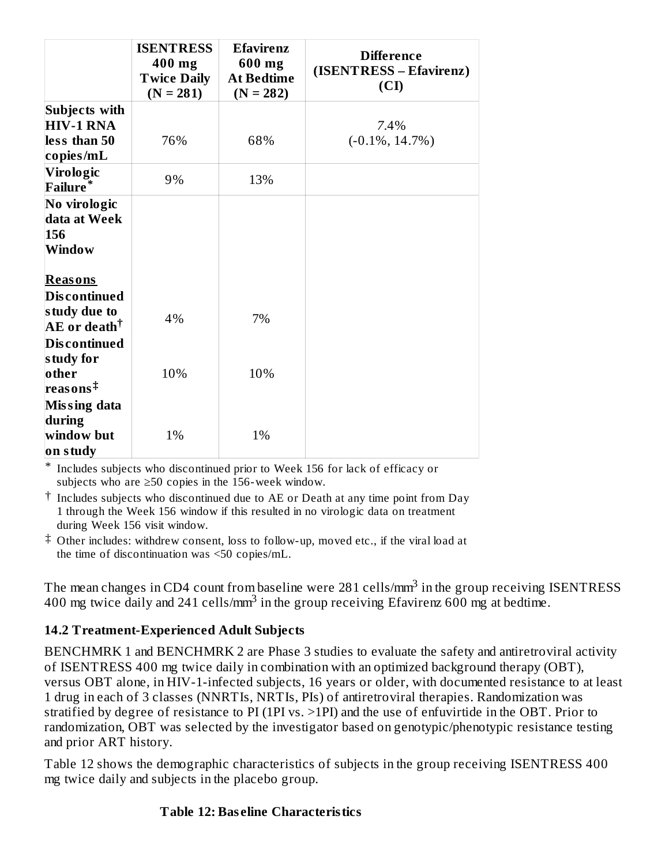|                                                                                   | <b>ISENTRESS</b><br>400 mg<br><b>Twice Daily</b><br>$(N = 281)$ | <b>Efavirenz</b><br>600 mg<br><b>At Bedtime</b><br>$(N = 282)$ | <b>Difference</b><br>(ISENTRESS - Efavirenz)<br>(CI) |
|-----------------------------------------------------------------------------------|-----------------------------------------------------------------|----------------------------------------------------------------|------------------------------------------------------|
| <b>Subjects with</b><br><b>HIV-1 RNA</b><br>less than 50                          | 76%                                                             | 68%                                                            | 7.4%<br>$(-0.1\%, 14.7\%)$                           |
| copies/mL<br><b>Virologic</b><br>Failure $\degree$                                | 9%                                                              | 13%                                                            |                                                      |
| No virologic<br>data at Week<br>156<br>Window                                     |                                                                 |                                                                |                                                      |
| <u>Reasons</u><br><b>Discontinued</b><br>study due to<br>$AE$ or death $^\dagger$ | 4%                                                              | 7%                                                             |                                                      |
| <b>Discontinued</b><br>study for<br>other<br>$r$ eas ons $^\ddag$                 | 10%                                                             | 10%                                                            |                                                      |
| <b>Missing data</b><br>during<br>window but<br>on study                           | 1%                                                              | 1%                                                             |                                                      |

\* Includes subjects who discontinued prior to Week 156 for lack of efficacy or subjects who are ≥50 copies in the 156-week window.

† Includes subjects who discontinued due to AE or Death at any time point from Day 1 through the Week 156 window if this resulted in no virologic data on treatment during Week 156 visit window.

‡ Other includes: withdrew consent, loss to follow-up, moved etc., if the viral load at the time of discontinuation was <50 copies/mL.

The mean changes in CD4 count from baseline were 281 cells/mm $^3$  in the group receiving ISENTRESS 400 mg twice daily and 241 cells/mm<sup>3</sup> in the group receiving Efavirenz 600 mg at bedtime.

### **14.2 Treatment-Experienced Adult Subjects**

BENCHMRK 1 and BENCHMRK 2 are Phase 3 studies to evaluate the safety and antiretroviral activity of ISENTRESS 400 mg twice daily in combination with an optimized background therapy (OBT), versus OBT alone, in HIV-1-infected subjects, 16 years or older, with documented resistance to at least 1 drug in each of 3 classes (NNRTIs, NRTIs, PIs) of antiretroviral therapies. Randomization was stratified by degree of resistance to PI (1PI vs. >1PI) and the use of enfuvirtide in the OBT. Prior to randomization, OBT was selected by the investigator based on genotypic/phenotypic resistance testing and prior ART history.

Table 12 shows the demographic characteristics of subjects in the group receiving ISENTRESS 400 mg twice daily and subjects in the placebo group.

### **Table 12: Bas eline Characteristics**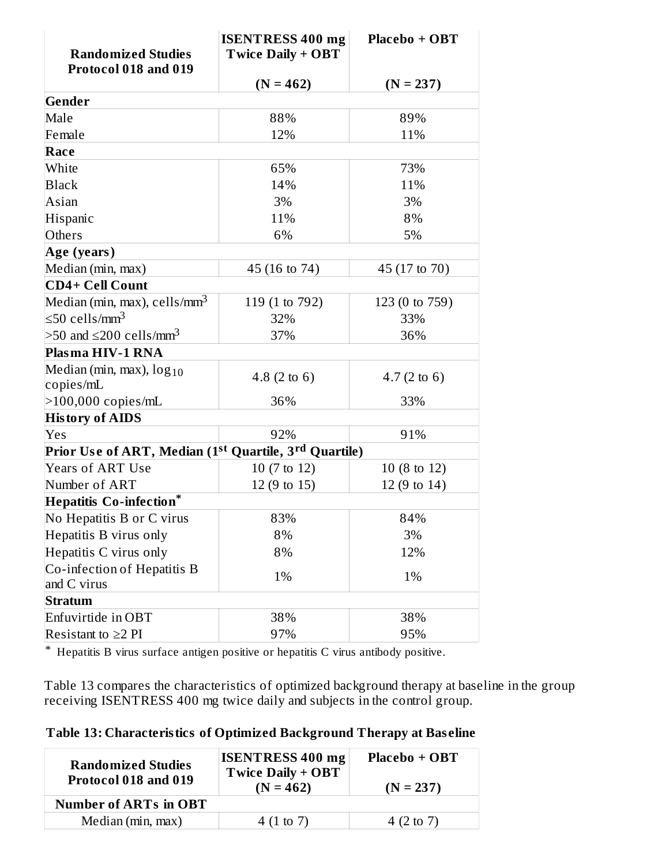| <b>Randomized Studies</b><br>Protocol 018 and 019                             | <b>ISENTRESS 400 mg</b><br><b>Twice Daily + OBT</b> | Placebo + OBT          |  |
|-------------------------------------------------------------------------------|-----------------------------------------------------|------------------------|--|
|                                                                               | $(N = 462)$                                         | $(N = 237)$            |  |
| Gender                                                                        |                                                     |                        |  |
| Male                                                                          | 88%                                                 | 89%                    |  |
| Female                                                                        | 12%                                                 | 11%                    |  |
| Race                                                                          |                                                     |                        |  |
| White                                                                         | 65%                                                 | 73%                    |  |
| <b>Black</b>                                                                  | 14%                                                 | 11%                    |  |
| Asian                                                                         | 3%                                                  | 3%                     |  |
| Hispanic                                                                      | 11%                                                 | 8%                     |  |
| Others                                                                        | 6%                                                  | 5%                     |  |
| Age (years)                                                                   |                                                     |                        |  |
| Median (min, max)                                                             | 45 (16 to 74)                                       | 45 (17 to 70)          |  |
| <b>CD4+ Cell Count</b>                                                        |                                                     |                        |  |
| Median (min, max), cells/mm <sup>3</sup>                                      | 119 (1 to 792)                                      | 123 (0 to 759)         |  |
| ≤50 cells/mm <sup>3</sup>                                                     | 32%                                                 | 33%                    |  |
| >50 and $\leq$ 200 cells/mm <sup>3</sup>                                      | 37%                                                 | 36%                    |  |
| Plasma HIV-1 RNA                                                              |                                                     |                        |  |
| Median (min, max), $\log_{10}$<br>copies/mL                                   | 4.8 $(2 \text{ to } 6)$                             | $4.7(2 \text{ to } 6)$ |  |
| >100,000 copies/mL                                                            | 36%                                                 | 33%                    |  |
| <b>History of AIDS</b>                                                        |                                                     |                        |  |
| Yes                                                                           | 92%                                                 | 91%                    |  |
| Prior Use of ART, Median (1 <sup>st</sup> Quartile, 3 <sup>rd</sup> Quartile) |                                                     |                        |  |
| <b>Years of ART Use</b>                                                       | 10 (7 to 12)                                        | 10 (8 to 12)           |  |
| Number of ART                                                                 | 12 (9 to 15)                                        | 12 (9 to 14)           |  |
| <b>Hepatitis Co-infection*</b>                                                |                                                     |                        |  |
| No Hepatitis B or C virus                                                     | 83%                                                 | 84%                    |  |
| Hepatitis B virus only                                                        | 8%                                                  | 3%                     |  |
| Hepatitis C virus only                                                        | 8%                                                  | 12%                    |  |
| Co-infection of Hepatitis B<br>and C virus                                    | 1%                                                  | 1%                     |  |
| <b>Stratum</b>                                                                |                                                     |                        |  |
| Enfuvirtide in OBT                                                            | 38%                                                 | 38%                    |  |
| Resistant to $\geq$ 2 PI                                                      | 97%                                                 | 95%                    |  |

\* Hepatitis B virus surface antigen positive or hepatitis C virus antibody positive.

Table 13 compares the characteristics of optimized background therapy at baseline in the group receiving ISENTRESS 400 mg twice daily and subjects in the control group.

| <b>Table 13: Characteristics of Optimized Background Therapy at Baseline</b> |  |  |  |  |
|------------------------------------------------------------------------------|--|--|--|--|
|------------------------------------------------------------------------------|--|--|--|--|

| <b>Randomized Studies</b><br>Protocol 018 and 019<br><b>Number of ARTs in OBT</b> | <b>ISENTRESS 400 mg</b><br><b>Twice Daily + OBT</b><br>$(N = 462)$ | Placebo + OBT<br>$(N = 237)$ |
|-----------------------------------------------------------------------------------|--------------------------------------------------------------------|------------------------------|
| Median (min, max)                                                                 | 4 (1 to 7)                                                         | 4 $(2 \text{ to } 7)$        |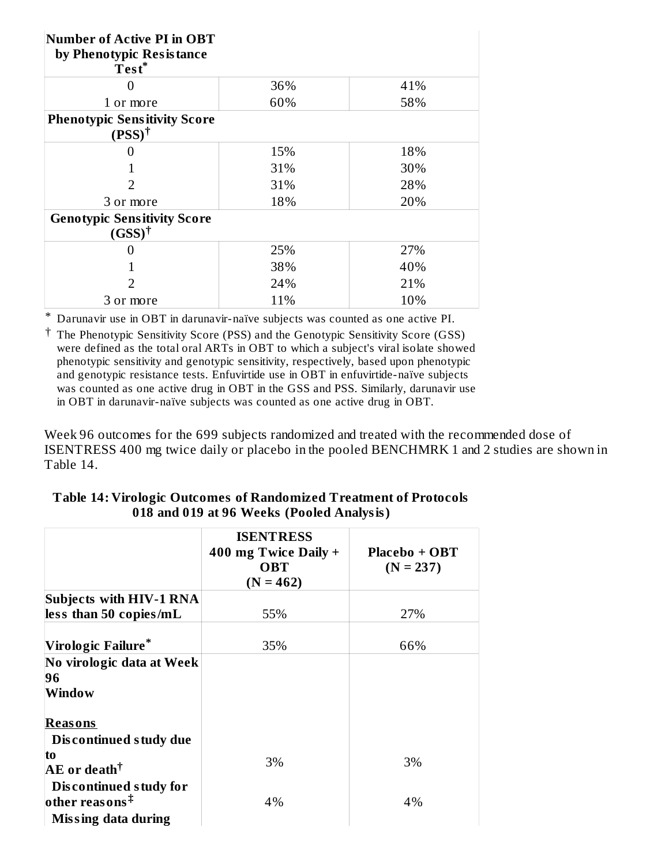| <b>Number of Active PI in OBT</b><br>by Phenotypic Resistance<br>Test* |     |     |
|------------------------------------------------------------------------|-----|-----|
|                                                                        | 36% | 41% |
| 1 or more                                                              | 60% | 58% |
| <b>Phenotypic Sensitivity Score</b><br>$(PSS)^{\dagger}$               |     |     |
|                                                                        | 15% | 18% |
|                                                                        | 31% | 30% |
| 2                                                                      | 31% | 28% |
| 3 or more                                                              | 18% | 20% |
| <b>Genotypic Sensitivity Score</b><br>$(GSS)^{\dagger}$                |     |     |
|                                                                        | 25% | 27% |
|                                                                        | 38% | 40% |
| フ                                                                      | 24% | 21% |
| 3 or more                                                              | 11% | 10% |

\* Darunavir use in OBT in darunavir-naïve subjects was counted as one active PI.

† The Phenotypic Sensitivity Score (PSS) and the Genotypic Sensitivity Score (GSS) were defined as the total oral ARTs in OBT to which a subject's viral isolate showed phenotypic sensitivity and genotypic sensitivity, respectively, based upon phenotypic and genotypic resistance tests. Enfuvirtide use in OBT in enfuvirtide-naïve subjects was counted as one active drug in OBT in the GSS and PSS. Similarly, darunavir use in OBT in darunavir-naïve subjects was counted as one active drug in OBT.

Week 96 outcomes for the 699 subjects randomized and treated with the recommended dose of ISENTRESS 400 mg twice daily or placebo in the pooled BENCHMRK 1 and 2 studies are shown in Table 14.

| <b>Table 14: Virologic Outcomes of Randomized Treatment of Protocols</b> |
|--------------------------------------------------------------------------|
| 018 and 019 at 96 Weeks (Pooled Analysis)                                |

|                                                            | <b>ISENTRESS</b><br>400 mg Twice Daily +<br><b>OBT</b><br>$(N = 462)$ | Placebo + OBT<br>$(N = 237)$ |
|------------------------------------------------------------|-----------------------------------------------------------------------|------------------------------|
| <b>Subjects with HIV-1 RNA</b>                             |                                                                       |                              |
| less than 50 copies/mL                                     | 55%                                                                   | 27%                          |
| Virologic Failure*                                         | 35%                                                                   | 66%                          |
| No virologic data at Week<br>96<br>Window                  |                                                                       |                              |
| <u>Reasons</u><br>Discontinued study due                   |                                                                       |                              |
| to<br>$AE$ or death $^\dagger$                             | 3%                                                                    | 3%                           |
| Discontinued study for<br>$\,$ other reasons $^{\ddagger}$ | 4%                                                                    | 4%                           |
| Missing data during                                        |                                                                       |                              |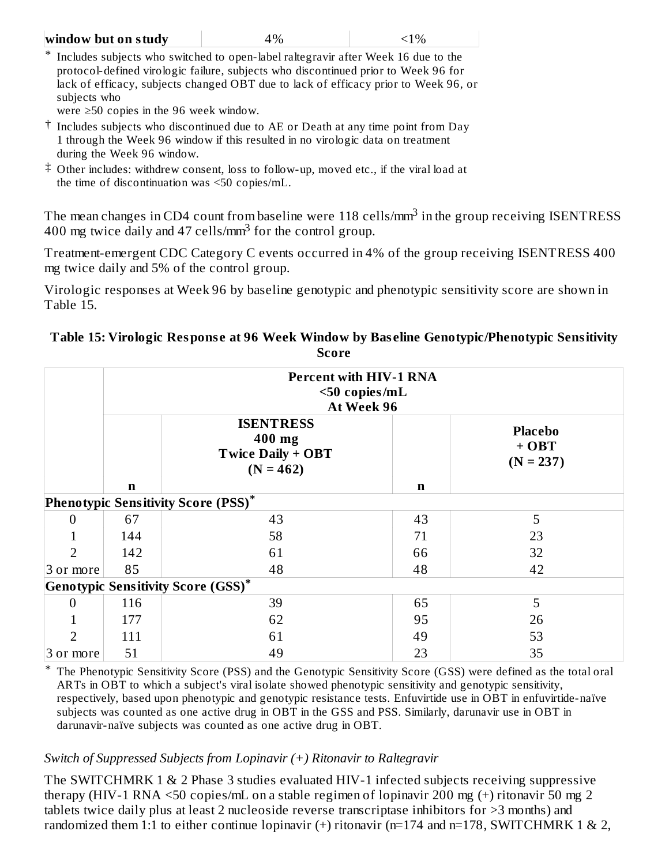| window but on study                                                                                                                                 | 4%                                                                                                                                                                        | $<1\%$ |  |
|-----------------------------------------------------------------------------------------------------------------------------------------------------|---------------------------------------------------------------------------------------------------------------------------------------------------------------------------|--------|--|
| * Includes subjects who switched to open-label raltegravir after Week 16 due to the<br>subjects who<br>were $\geq$ 50 copies in the 96 week window. | protocol-defined virologic failure, subjects who discontinued prior to Week 96 for<br>lack of efficacy, subjects changed OBT due to lack of efficacy prior to Week 96, or |        |  |
| <sup>†</sup> Includes subjects who discontinued due to AE or Death at any time point from Day                                                       | 1 through the Week 96 window if this resulted in no virologic data on treatment                                                                                           |        |  |
| during the Week 96 window.<br>$\ddagger$ Other includes: withdrew consent, loss to follow-up, moved etc., if the viral load at                      |                                                                                                                                                                           |        |  |

Other includes: withdrew consent, loss to follow-up, moved etc., if the viral load at the time of discontinuation was <50 copies/mL.

The mean changes in CD4 count from baseline were 118 cells/mm<sup>3</sup> in the group receiving ISENTRESS 400 mg twice daily and 47 cells/ $\text{mm}^3$  for the control group.

Treatment-emergent CDC Category C events occurred in 4% of the group receiving ISENTRESS 400 mg twice daily and 5% of the control group.

Virologic responses at Week 96 by baseline genotypic and phenotypic sensitivity score are shown in Table 15.

#### **Table 15: Virologic Respons e at 96 Week Window by Bas eline Genotypic/Phenotypic Sensitivity Score**

|                                           | <b>Percent with HIV-1 RNA</b><br>$<$ 50 copies/mL<br>At Week 96 |                                                                       |             |                                          |  |  |  |
|-------------------------------------------|-----------------------------------------------------------------|-----------------------------------------------------------------------|-------------|------------------------------------------|--|--|--|
|                                           |                                                                 | <b>ISENTRESS</b><br>400 mg<br><b>Twice Daily + OBT</b><br>$(N = 462)$ |             | <b>Placebo</b><br>$+$ OBT<br>$(N = 237)$ |  |  |  |
|                                           | $\mathbf n$                                                     |                                                                       | $\mathbf n$ |                                          |  |  |  |
|                                           | <b>Phenotypic Sensitivity Score (PSS)*</b>                      |                                                                       |             |                                          |  |  |  |
| $\Omega$                                  | 67<br>43                                                        |                                                                       | 43          | 5                                        |  |  |  |
|                                           | 144                                                             | 58                                                                    | 71          | 23                                       |  |  |  |
| $\mathcal{P}$                             | 142                                                             | 61                                                                    | 66          | 32                                       |  |  |  |
| 3 or more                                 | 85                                                              | 48                                                                    | 48          | 42                                       |  |  |  |
| <b>Genotypic Sensitivity Score (GSS)*</b> |                                                                 |                                                                       |             |                                          |  |  |  |
| $\theta$                                  | 116                                                             | 39                                                                    | 65          | 5                                        |  |  |  |
|                                           | 177                                                             | 62                                                                    | 95          | 26                                       |  |  |  |
| $\mathcal{D}$                             | 111                                                             | 61                                                                    | 49          | 53                                       |  |  |  |
| 3 or more                                 | 35<br>23<br>51<br>49                                            |                                                                       |             |                                          |  |  |  |

\* The Phenotypic Sensitivity Score (PSS) and the Genotypic Sensitivity Score (GSS) were defined as the total oral ARTs in OBT to which a subject's viral isolate showed phenotypic sensitivity and genotypic sensitivity, respectively, based upon phenotypic and genotypic resistance tests. Enfuvirtide use in OBT in enfuvirtide-naïve subjects was counted as one active drug in OBT in the GSS and PSS. Similarly, darunavir use in OBT in darunavir-naïve subjects was counted as one active drug in OBT.

### *Switch of Suppressed Subjects from Lopinavir (+) Ritonavir to Raltegravir*

The SWITCHMRK 1 & 2 Phase 3 studies evaluated HIV-1 infected subjects receiving suppressive therapy (HIV-1 RNA <50 copies/mL on a stable regimen of lopinavir 200 mg (+) ritonavir 50 mg 2 tablets twice daily plus at least 2 nucleoside reverse transcriptase inhibitors for >3 months) and randomized them 1:1 to either continue lopinavir (+) ritonavir (n=174 and n=178, SWITCHMRK 1 & 2,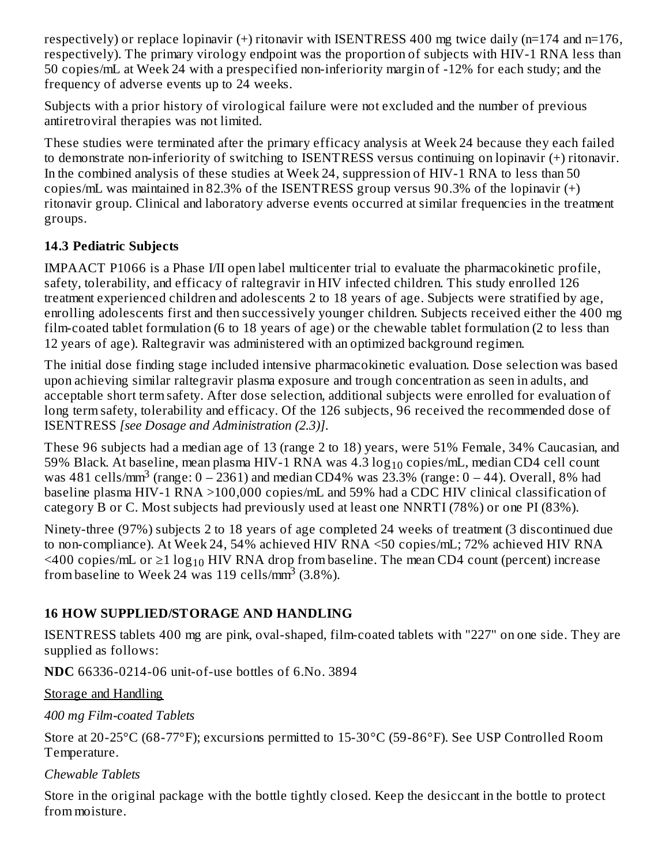respectively) or replace lopinavir (+) ritonavir with ISENTRESS 400 mg twice daily (n=174 and n=176, respectively). The primary virology endpoint was the proportion of subjects with HIV-1 RNA less than 50 copies/mL at Week 24 with a prespecified non-inferiority margin of -12% for each study; and the frequency of adverse events up to 24 weeks.

Subjects with a prior history of virological failure were not excluded and the number of previous antiretroviral therapies was not limited.

These studies were terminated after the primary efficacy analysis at Week 24 because they each failed to demonstrate non-inferiority of switching to ISENTRESS versus continuing on lopinavir (+) ritonavir. In the combined analysis of these studies at Week 24, suppression of HIV-1 RNA to less than 50 copies/mL was maintained in 82.3% of the ISENTRESS group versus 90.3% of the lopinavir (+) ritonavir group. Clinical and laboratory adverse events occurred at similar frequencies in the treatment groups.

## **14.3 Pediatric Subjects**

IMPAACT P1066 is a Phase I/II open label multicenter trial to evaluate the pharmacokinetic profile, safety, tolerability, and efficacy of raltegravir in HIV infected children. This study enrolled 126 treatment experienced children and adolescents 2 to 18 years of age. Subjects were stratified by age, enrolling adolescents first and then successively younger children. Subjects received either the 400 mg film-coated tablet formulation (6 to 18 years of age) or the chewable tablet formulation (2 to less than 12 years of age). Raltegravir was administered with an optimized background regimen.

The initial dose finding stage included intensive pharmacokinetic evaluation. Dose selection was based upon achieving similar raltegravir plasma exposure and trough concentration as seen in adults, and acceptable short term safety. After dose selection, additional subjects were enrolled for evaluation of long term safety, tolerability and efficacy. Of the 126 subjects, 96 received the recommended dose of ISENTRESS *[see Dosage and Administration (2.3)]*.

These 96 subjects had a median age of 13 (range 2 to 18) years, were 51% Female, 34% Caucasian, and 59% Black. At baseline, mean plasma HIV-1 RNA was  $4.3 \log_{10}$  copies/mL, median CD4 cell count was 481 cells/mm<sup>3</sup> (range:  $0 - 2361$ ) and median CD4% was  $23.3\%$  (range:  $0 - 44$ ). Overall, 8% had baseline plasma HIV-1 RNA >100,000 copies/mL and 59% had a CDC HIV clinical classification of category B or C. Most subjects had previously used at least one NNRTI (78%) or one PI (83%).

Ninety-three (97%) subjects 2 to 18 years of age completed 24 weeks of treatment (3 discontinued due to non-compliance). At Week 24, 54% achieved HIV RNA <50 copies/mL; 72% achieved HIV RNA <400 copies/mL or  $\geq$ 1 log<sub>10</sub> HIV RNA drop from baseline. The mean CD4 count (percent) increase from baseline to Week 24 was 119 cells/ $\text{mm}^3$  (3.8%).

## **16 HOW SUPPLIED/STORAGE AND HANDLING**

ISENTRESS tablets 400 mg are pink, oval-shaped, film-coated tablets with "227" on one side. They are supplied as follows:

**NDC** 66336-0214-06 unit-of-use bottles of 6.No. 3894

Storage and Handling

*400 mg Film-coated Tablets*

Store at 20-25°C (68-77°F); excursions permitted to 15-30°C (59-86°F). See USP Controlled Room Temperature.

*Chewable Tablets*

Store in the original package with the bottle tightly closed. Keep the desiccant in the bottle to protect from moisture.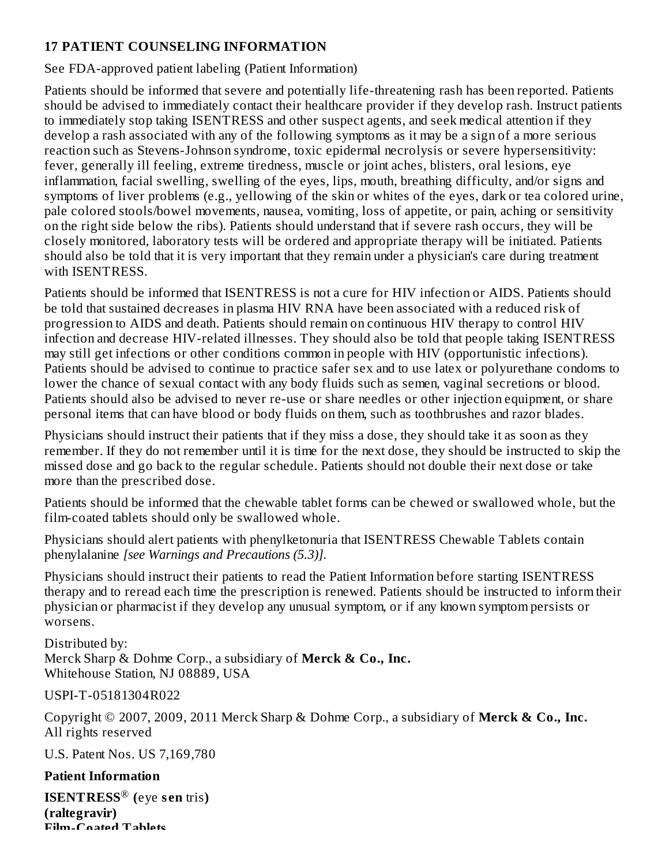### **17 PATIENT COUNSELING INFORMATION**

See FDA-approved patient labeling (Patient Information)

Patients should be informed that severe and potentially life-threatening rash has been reported. Patients should be advised to immediately contact their healthcare provider if they develop rash. Instruct patients to immediately stop taking ISENTRESS and other suspect agents, and seek medical attention if they develop a rash associated with any of the following symptoms as it may be a sign of a more serious reaction such as Stevens-Johnson syndrome, toxic epidermal necrolysis or severe hypersensitivity: fever, generally ill feeling, extreme tiredness, muscle or joint aches, blisters, oral lesions, eye inflammation, facial swelling, swelling of the eyes, lips, mouth, breathing difficulty, and/or signs and symptoms of liver problems (e.g., yellowing of the skin or whites of the eyes, dark or tea colored urine, pale colored stools/bowel movements, nausea, vomiting, loss of appetite, or pain, aching or sensitivity on the right side below the ribs). Patients should understand that if severe rash occurs, they will be closely monitored, laboratory tests will be ordered and appropriate therapy will be initiated. Patients should also be told that it is very important that they remain under a physician's care during treatment with ISENTRESS.

Patients should be informed that ISENTRESS is not a cure for HIV infection or AIDS. Patients should be told that sustained decreases in plasma HIV RNA have been associated with a reduced risk of progression to AIDS and death. Patients should remain on continuous HIV therapy to control HIV infection and decrease HIV-related illnesses. They should also be told that people taking ISENTRESS may still get infections or other conditions common in people with HIV (opportunistic infections). Patients should be advised to continue to practice safer sex and to use latex or polyurethane condoms to lower the chance of sexual contact with any body fluids such as semen, vaginal secretions or blood. Patients should also be advised to never re-use or share needles or other injection equipment, or share personal items that can have blood or body fluids on them, such as toothbrushes and razor blades.

Physicians should instruct their patients that if they miss a dose, they should take it as soon as they remember. If they do not remember until it is time for the next dose, they should be instructed to skip the missed dose and go back to the regular schedule. Patients should not double their next dose or take more than the prescribed dose.

Patients should be informed that the chewable tablet forms can be chewed or swallowed whole, but the film-coated tablets should only be swallowed whole.

Physicians should alert patients with phenylketonuria that ISENTRESS Chewable Tablets contain phenylalanine *[see Warnings and Precautions (5.3)].*

Physicians should instruct their patients to read the Patient Information before starting ISENTRESS therapy and to reread each time the prescription is renewed. Patients should be instructed to inform their physician or pharmacist if they develop any unusual symptom, or if any known symptom persists or worsens.

Distributed by: Merck Sharp & Dohme Corp., a subsidiary of **Merck & Co., Inc.** Whitehouse Station, NJ 08889, USA

#### USPI-T-05181304R022

Copyright © 2007, 2009, 2011 Merck Sharp & Dohme Corp., a subsidiary of **Merck & Co., Inc.** All rights reserved

U.S. Patent Nos. US 7,169,780

### **Patient Information**

**ISENTRESS (**eye **s en** tris**)** ®**(raltegravir) Film-Coated Tablets**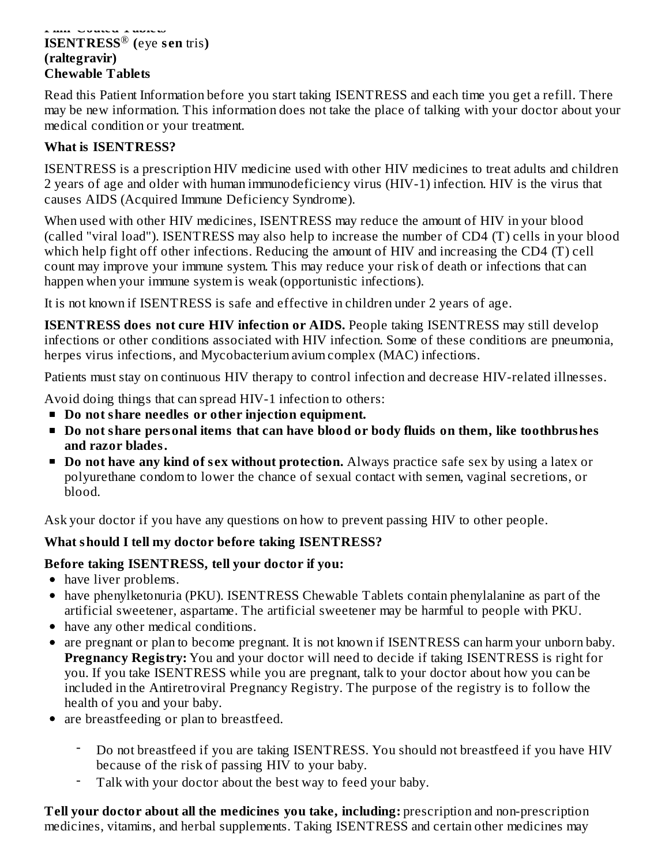#### **Film-Coated Tablets ISENTRESS (**eye **s en** tris**)** ® **(raltegravir) Chewable Tablets**

Read this Patient Information before you start taking ISENTRESS and each time you get a refill. There may be new information. This information does not take the place of talking with your doctor about your medical condition or your treatment.

## **What is ISENTRESS?**

ISENTRESS is a prescription HIV medicine used with other HIV medicines to treat adults and children 2 years of age and older with human immunodeficiency virus (HIV-1) infection. HIV is the virus that causes AIDS (Acquired Immune Deficiency Syndrome).

When used with other HIV medicines, ISENTRESS may reduce the amount of HIV in your blood (called "viral load"). ISENTRESS may also help to increase the number of CD4 (T) cells in your blood which help fight off other infections. Reducing the amount of HIV and increasing the CD4 (T) cell count may improve your immune system. This may reduce your risk of death or infections that can happen when your immune system is weak (opportunistic infections).

It is not known if ISENTRESS is safe and effective in children under 2 years of age.

**ISENTRESS does not cure HIV infection or AIDS.** People taking ISENTRESS may still develop infections or other conditions associated with HIV infection. Some of these conditions are pneumonia, herpes virus infections, and Mycobacterium avium complex (MAC) infections.

Patients must stay on continuous HIV therapy to control infection and decrease HIV-related illnesses.

Avoid doing things that can spread HIV-1 infection to others:

- **Do not share needles or other injection equipment.**
- **Do not share personal items that can have blood or body fluids on them, like toothbrushes and razor blades.**
- **Do not** have any kind of sex without protection. Always practice safe sex by using a latex or polyurethane condom to lower the chance of sexual contact with semen, vaginal secretions, or blood.

Ask your doctor if you have any questions on how to prevent passing HIV to other people.

### **What should I tell my doctor before taking ISENTRESS?**

### **Before taking ISENTRESS, tell your doctor if you:**

- have liver problems.
- have phenylketonuria (PKU). ISENTRESS Chewable Tablets contain phenylalanine as part of the artificial sweetener, aspartame. The artificial sweetener may be harmful to people with PKU.
- have any other medical conditions.
- are pregnant or plan to become pregnant. It is not known if ISENTRESS can harm your unborn baby. **Pregnancy Registry:** You and your doctor will need to decide if taking ISENTRESS is right for you. If you take ISENTRESS while you are pregnant, talk to your doctor about how you can be included in the Antiretroviral Pregnancy Registry. The purpose of the registry is to follow the health of you and your baby.
- are breastfeeding or plan to breastfeed.
	- Do not breastfeed if you are taking ISENTRESS. You should not breastfeed if you have HIV because of the risk of passing HIV to your baby.
	- Talk with your doctor about the best way to feed your baby.

**Tell your doctor about all the medicines you take, including:** prescription and non-prescription medicines, vitamins, and herbal supplements. Taking ISENTRESS and certain other medicines may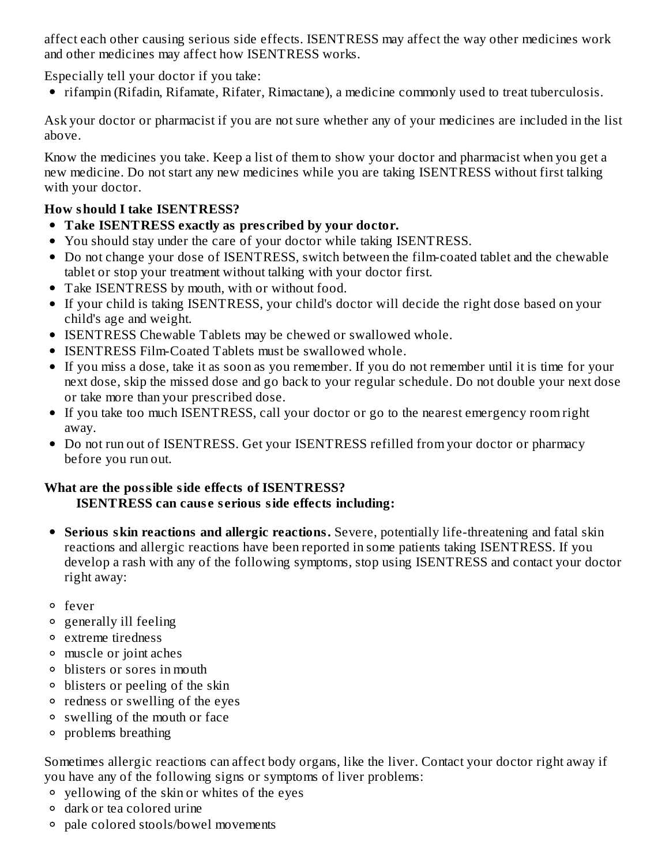affect each other causing serious side effects. ISENTRESS may affect the way other medicines work and other medicines may affect how ISENTRESS works.

Especially tell your doctor if you take:

rifampin (Rifadin, Rifamate, Rifater, Rimactane), a medicine commonly used to treat tuberculosis.

Ask your doctor or pharmacist if you are not sure whether any of your medicines are included in the list above.

Know the medicines you take. Keep a list of them to show your doctor and pharmacist when you get a new medicine. Do not start any new medicines while you are taking ISENTRESS without first talking with your doctor.

### **How should I take ISENTRESS?**

- **Take ISENTRESS exactly as pres cribed by your doctor.**
- You should stay under the care of your doctor while taking ISENTRESS.
- Do not change your dose of ISENTRESS, switch between the film-coated tablet and the chewable tablet or stop your treatment without talking with your doctor first.
- Take ISENTRESS by mouth, with or without food.
- If your child is taking ISENTRESS, your child's doctor will decide the right dose based on your child's age and weight.
- ISENTRESS Chewable Tablets may be chewed or swallowed whole.
- ISENTRESS Film-Coated Tablets must be swallowed whole.
- If you miss a dose, take it as soon as you remember. If you do not remember until it is time for your next dose, skip the missed dose and go back to your regular schedule. Do not double your next dose or take more than your prescribed dose.
- If you take too much ISENTRESS, call your doctor or go to the nearest emergency room right away.
- Do not run out of ISENTRESS. Get your ISENTRESS refilled from your doctor or pharmacy before you run out.

### **What are the possible side effects of ISENTRESS? ISENTRESS can caus e s erious side effects including:**

- **Serious skin reactions and allergic reactions.** Severe, potentially life-threatening and fatal skin reactions and allergic reactions have been reported in some patients taking ISENTRESS. If you develop a rash with any of the following symptoms, stop using ISENTRESS and contact your doctor right away:
- fever
- generally ill feeling
- extreme tiredness
- muscle or joint aches
- blisters or sores in mouth
- blisters or peeling of the skin
- redness or swelling of the eyes
- swelling of the mouth or face
- problems breathing

Sometimes allergic reactions can affect body organs, like the liver. Contact your doctor right away if you have any of the following signs or symptoms of liver problems:

- yellowing of the skin or whites of the eyes
- dark or tea colored urine
- pale colored stools/bowel movements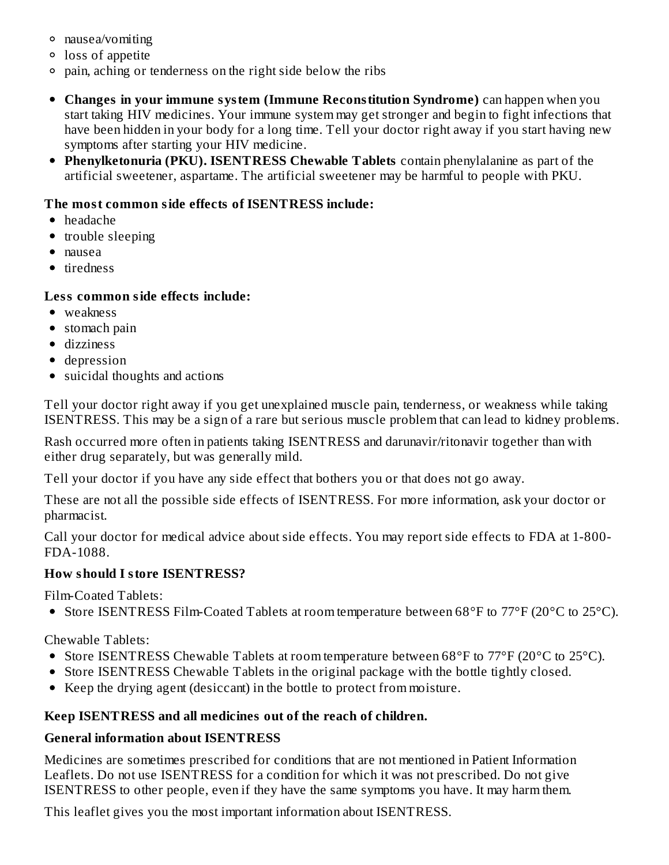- nausea/vomiting
- loss of appetite
- pain, aching or tenderness on the right side below the ribs
- **Changes in your immune system (Immune Reconstitution Syndrome)** can happen when you start taking HIV medicines. Your immune system may get stronger and begin to fight infections that have been hidden in your body for a long time. Tell your doctor right away if you start having new symptoms after starting your HIV medicine.
- **Phenylketonuria (PKU). ISENTRESS Chewable Tablets** contain phenylalanine as part of the artificial sweetener, aspartame. The artificial sweetener may be harmful to people with PKU.

### **The most common side effects of ISENTRESS include:**

- headache
- trouble sleeping
- nausea
- tiredness

### **Less common side effects include:**

- weakness
- stomach pain
- dizziness
- depression
- suicidal thoughts and actions

Tell your doctor right away if you get unexplained muscle pain, tenderness, or weakness while taking ISENTRESS. This may be a sign of a rare but serious muscle problem that can lead to kidney problems.

Rash occurred more often in patients taking ISENTRESS and darunavir/ritonavir together than with either drug separately, but was generally mild.

Tell your doctor if you have any side effect that bothers you or that does not go away.

These are not all the possible side effects of ISENTRESS. For more information, ask your doctor or pharmacist.

Call your doctor for medical advice about side effects. You may report side effects to FDA at 1-800- FDA-1088.

### **How should I store ISENTRESS?**

Film-Coated Tablets:

Store ISENTRESS Film-Coated Tablets at room temperature between 68°F to 77°F (20°C to 25°C).

Chewable Tablets:

- Store ISENTRESS Chewable Tablets at room temperature between 68°F to 77°F (20°C to 25°C).
- Store ISENTRESS Chewable Tablets in the original package with the bottle tightly closed.
- Keep the drying agent (desiccant) in the bottle to protect from moisture.

### **Keep ISENTRESS and all medicines out of the reach of children.**

### **General information about ISENTRESS**

Medicines are sometimes prescribed for conditions that are not mentioned in Patient Information Leaflets. Do not use ISENTRESS for a condition for which it was not prescribed. Do not give ISENTRESS to other people, even if they have the same symptoms you have. It may harm them.

This leaflet gives you the most important information about ISENTRESS.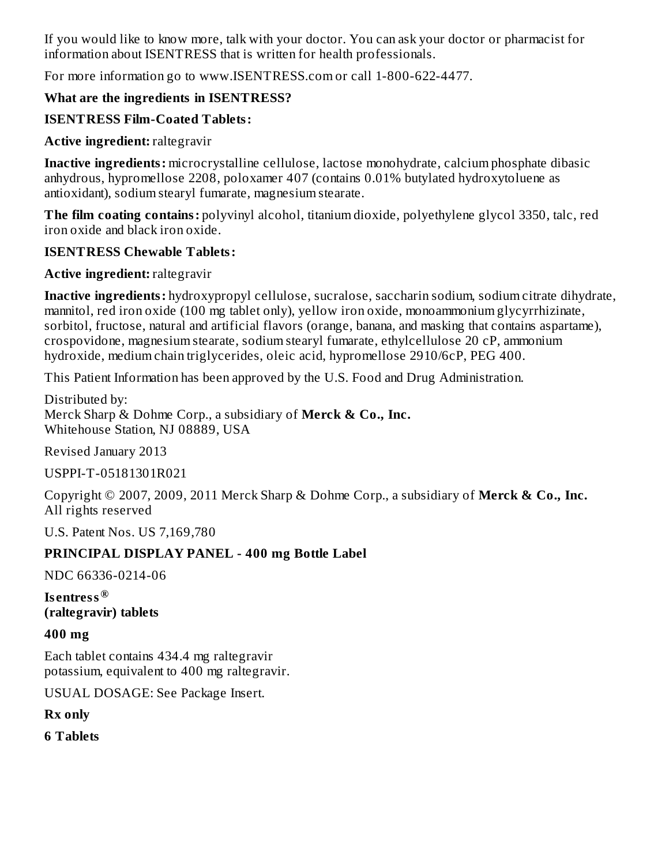If you would like to know more, talk with your doctor. You can ask your doctor or pharmacist for information about ISENTRESS that is written for health professionals.

For more information go to www.ISENTRESS.com or call 1-800-622-4477.

### **What are the ingredients in ISENTRESS?**

### **ISENTRESS Film-Coated Tablets:**

**Active ingredient:** raltegravir

**Inactive ingredients:** microcrystalline cellulose, lactose monohydrate, calcium phosphate dibasic anhydrous, hypromellose 2208, poloxamer 407 (contains 0.01% butylated hydroxytoluene as antioxidant), sodium stearyl fumarate, magnesium stearate.

**The film coating contains:** polyvinyl alcohol, titanium dioxide, polyethylene glycol 3350, talc, red iron oxide and black iron oxide.

## **ISENTRESS Chewable Tablets:**

**Active ingredient:** raltegravir

**Inactive ingredients:** hydroxypropyl cellulose, sucralose, saccharin sodium, sodium citrate dihydrate, mannitol, red iron oxide (100 mg tablet only), yellow iron oxide, monoammonium glycyrrhizinate, sorbitol, fructose, natural and artificial flavors (orange, banana, and masking that contains aspartame), crospovidone, magnesium stearate, sodium stearyl fumarate, ethylcellulose 20 cP, ammonium hydroxide, medium chain triglycerides, oleic acid, hypromellose 2910/6cP, PEG 400.

This Patient Information has been approved by the U.S. Food and Drug Administration.

Distributed by: Merck Sharp & Dohme Corp., a subsidiary of **Merck & Co., Inc.** Whitehouse Station, NJ 08889, USA

Revised January 2013

USPPI-T-05181301R021

Copyright © 2007, 2009, 2011 Merck Sharp & Dohme Corp., a subsidiary of **Merck & Co., Inc.** All rights reserved

U.S. Patent Nos. US 7,169,780

## **PRINCIPAL DISPLAY PANEL - 400 mg Bottle Label**

NDC 66336-0214-06

**Is entress ®(raltegravir) tablets**

### **400 mg**

Each tablet contains 434.4 mg raltegravir potassium, equivalent to 400 mg raltegravir.

USUAL DOSAGE: See Package Insert.

**Rx only**

**6 Tablets**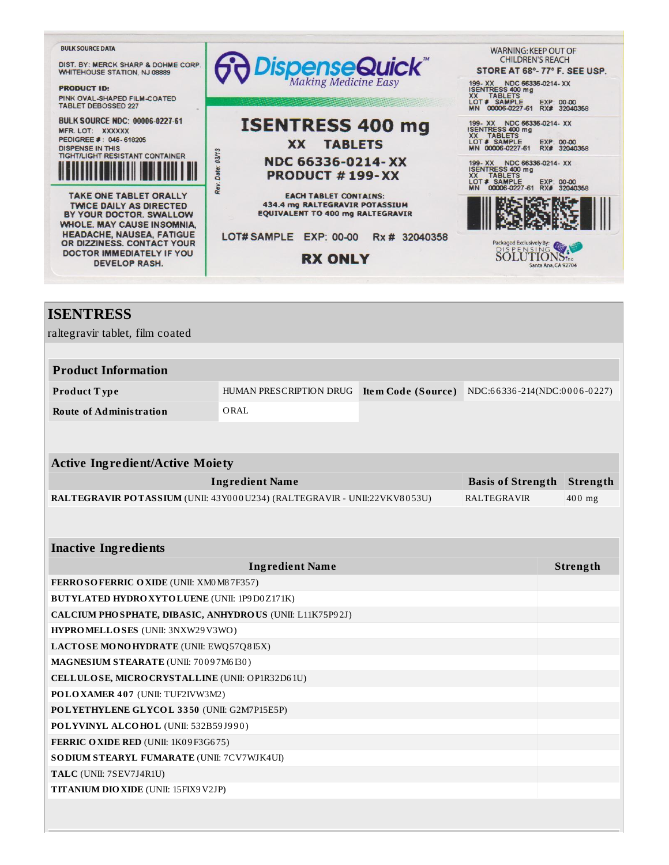

| <b>Product Type</b> |  | HUMAN PRESCRIPTION DRUG ltem Code (Source) NDC:66336-214(NDC:0006-0227) |
|---------------------|--|-------------------------------------------------------------------------|
|                     |  |                                                                         |

**Route of Administration** ORAL

| Active Ingredient/Active Moiety                                          |                                   |          |  |  |  |
|--------------------------------------------------------------------------|-----------------------------------|----------|--|--|--|
| Ingredient Name                                                          | <b>Basis of Strength Strength</b> |          |  |  |  |
| RALTEGRAVIR POTASSIUM (UNII: 43Y000U234) (RALTEGRAVIR - UNII:22VKV8053U) | RALTEGRAVIR                       | $400$ mg |  |  |  |

| <b>Inactive Ingredients</b>                                |          |
|------------------------------------------------------------|----------|
| <b>Ingredient Name</b>                                     | Strength |
| FERROSOFERRIC OXIDE (UNII: XM0 M8 7F357)                   |          |
| <b>BUTYLATED HYDRO XYTOLUENE (UNII: 1P9D0Z171K)</b>        |          |
| CALCIUM PHO SPHATE, DIBASIC, ANHYDRO US (UNII: L11K75P92J) |          |
| HYPROMELLOSES (UNII: 3NXW29V3WO)                           |          |
| <b>LACTOSE MONOHYDRATE (UNII: EWQ57Q8I5X)</b>              |          |
| MAGNESIUM STEARATE (UNII: 70097M6I30)                      |          |
| CELLULOSE, MICRO CRYSTALLINE (UNII: OP1R32D61U)            |          |
| POLOXAMER 407 (UNII: TUF2IVW3M2)                           |          |
| POLYETHYLENE GLYCOL 3350 (UNII: G2M7P15E5P)                |          |
| POLYVINYL ALCOHOL (UNII: 532B59J990)                       |          |
| <b>FERRIC OXIDE RED (UNII: 1K09F3G675)</b>                 |          |
| SO DIUM STEARYL FUMARATE (UNII: 7CV7WJK4UI)                |          |
| TALC (UNII: 7SEV7J4R1U)                                    |          |
| <b>TITANIUM DIO XIDE (UNII: 15FIX9 V2JP)</b>               |          |
|                                                            |          |
|                                                            |          |